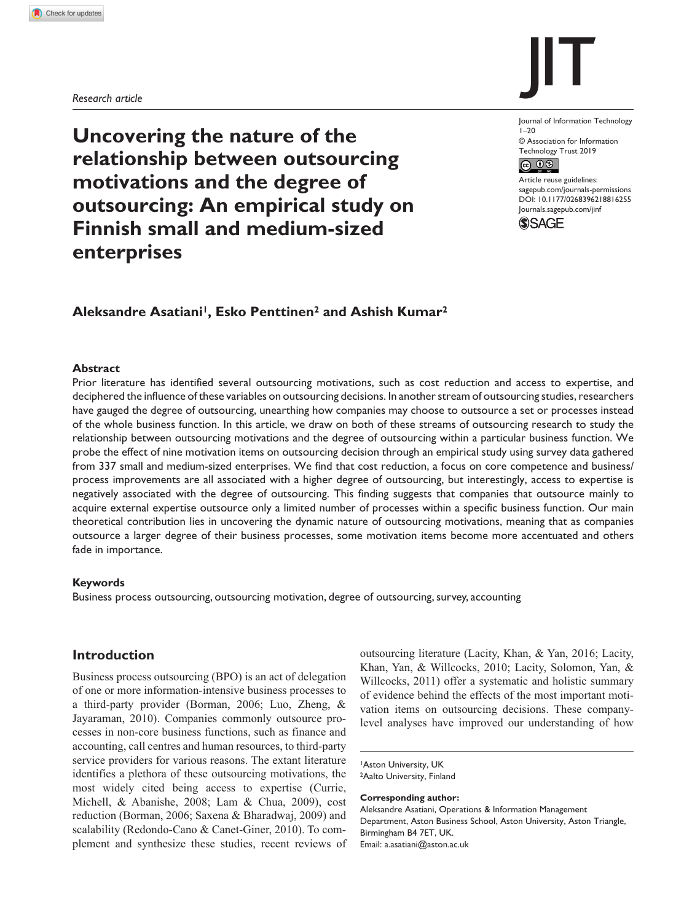*Research article*



**Uncovering the nature of the relationship between outsourcing motivations and the degree of outsourcing: An empirical study on Finnish small and medium-sized enterprises**

Journal of Information Technology  $1 - 20$ © Association for Information Technology Trust 2019  $\circledcirc$   $\circledcirc$ 

DOI: 10.1177/0268396218816255 Article reuse guidelines: [sagepub.com/journals-permissions](https://uk.sagepub.com/en-gb/journals-permissions) [Journals.sagepub.com/jinf](http://Journals.sagepub.com/jinf)



# **Aleksandre Asatiani1, Esko Penttinen2 and Ashish Kumar2**

#### **Abstract**

Prior literature has identified several outsourcing motivations, such as cost reduction and access to expertise, and deciphered the influence of these variables on outsourcing decisions. In another stream of outsourcing studies, researchers have gauged the degree of outsourcing, unearthing how companies may choose to outsource a set or processes instead of the whole business function. In this article, we draw on both of these streams of outsourcing research to study the relationship between outsourcing motivations and the degree of outsourcing within a particular business function. We probe the effect of nine motivation items on outsourcing decision through an empirical study using survey data gathered from 337 small and medium-sized enterprises. We find that cost reduction, a focus on core competence and business/ process improvements are all associated with a higher degree of outsourcing, but interestingly, access to expertise is negatively associated with the degree of outsourcing. This finding suggests that companies that outsource mainly to acquire external expertise outsource only a limited number of processes within a specific business function. Our main theoretical contribution lies in uncovering the dynamic nature of outsourcing motivations, meaning that as companies outsource a larger degree of their business processes, some motivation items become more accentuated and others fade in importance.

#### **Keywords**

Business process outsourcing, outsourcing motivation, degree of outsourcing, survey, accounting

# **Introduction**

Business process outsourcing (BPO) is an act of delegation of one or more information-intensive business processes to a third-party provider (Borman, 2006; Luo, Zheng, & Jayaraman, 2010). Companies commonly outsource processes in non-core business functions, such as finance and accounting, call centres and human resources, to third-party service providers for various reasons. The extant literature identifies a plethora of these outsourcing motivations, the most widely cited being access to expertise (Currie, Michell, & Abanishe, 2008; Lam & Chua, 2009), cost reduction (Borman, 2006; Saxena & Bharadwaj, 2009) and scalability (Redondo-Cano & Canet-Giner, 2010). To complement and synthesize these studies, recent reviews of outsourcing literature (Lacity, Khan, & Yan, 2016; Lacity, Khan, Yan, & Willcocks, 2010; Lacity, Solomon, Yan, & Willcocks, 2011) offer a systematic and holistic summary of evidence behind the effects of the most important motivation items on outsourcing decisions. These companylevel analyses have improved our understanding of how

1Aston University, UK <sup>2</sup>Aalto University, Finland

**Corresponding author:**

Aleksandre Asatiani, Operations & Information Management Department, Aston Business School, Aston University, Aston Triangle, Birmingham B4 7ET, UK. Email: [a.asatiani@aston.ac.uk](mailto:a.asatiani@aston.ac.uk)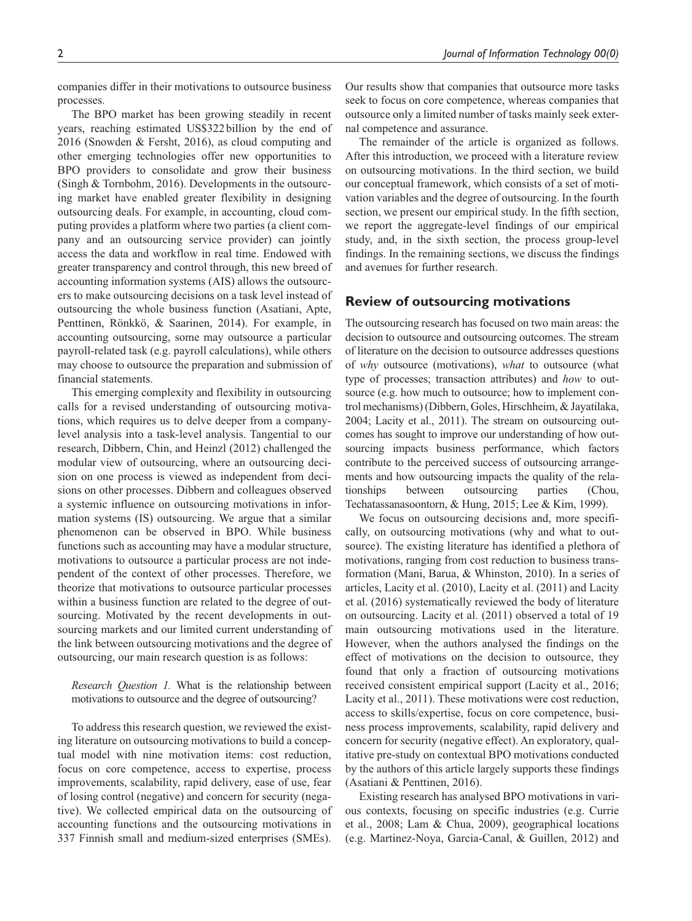companies differ in their motivations to outsource business processes.

The BPO market has been growing steadily in recent years, reaching estimated US\$322billion by the end of 2016 (Snowden & Fersht, 2016), as cloud computing and other emerging technologies offer new opportunities to BPO providers to consolidate and grow their business (Singh & Tornbohm, 2016). Developments in the outsourcing market have enabled greater flexibility in designing outsourcing deals. For example, in accounting, cloud computing provides a platform where two parties (a client company and an outsourcing service provider) can jointly access the data and workflow in real time. Endowed with greater transparency and control through, this new breed of accounting information systems (AIS) allows the outsourcers to make outsourcing decisions on a task level instead of outsourcing the whole business function (Asatiani, Apte, Penttinen, Rönkkö, & Saarinen, 2014). For example, in accounting outsourcing, some may outsource a particular payroll-related task (e.g. payroll calculations), while others may choose to outsource the preparation and submission of financial statements.

This emerging complexity and flexibility in outsourcing calls for a revised understanding of outsourcing motivations, which requires us to delve deeper from a companylevel analysis into a task-level analysis. Tangential to our research, Dibbern, Chin, and Heinzl (2012) challenged the modular view of outsourcing, where an outsourcing decision on one process is viewed as independent from decisions on other processes. Dibbern and colleagues observed a systemic influence on outsourcing motivations in information systems (IS) outsourcing. We argue that a similar phenomenon can be observed in BPO. While business functions such as accounting may have a modular structure, motivations to outsource a particular process are not independent of the context of other processes. Therefore, we theorize that motivations to outsource particular processes within a business function are related to the degree of outsourcing. Motivated by the recent developments in outsourcing markets and our limited current understanding of the link between outsourcing motivations and the degree of outsourcing, our main research question is as follows:

*Research Question 1.* What is the relationship between motivations to outsource and the degree of outsourcing?

To address this research question, we reviewed the existing literature on outsourcing motivations to build a conceptual model with nine motivation items: cost reduction, focus on core competence, access to expertise, process improvements, scalability, rapid delivery, ease of use, fear of losing control (negative) and concern for security (negative). We collected empirical data on the outsourcing of accounting functions and the outsourcing motivations in 337 Finnish small and medium-sized enterprises (SMEs).

Our results show that companies that outsource more tasks seek to focus on core competence, whereas companies that outsource only a limited number of tasks mainly seek external competence and assurance.

The remainder of the article is organized as follows. After this introduction, we proceed with a literature review on outsourcing motivations. In the third section, we build our conceptual framework, which consists of a set of motivation variables and the degree of outsourcing. In the fourth section, we present our empirical study. In the fifth section, we report the aggregate-level findings of our empirical study, and, in the sixth section, the process group-level findings. In the remaining sections, we discuss the findings and avenues for further research.

### **Review of outsourcing motivations**

The outsourcing research has focused on two main areas: the decision to outsource and outsourcing outcomes. The stream of literature on the decision to outsource addresses questions of *why* outsource (motivations), *what* to outsource (what type of processes; transaction attributes) and *how* to outsource (e.g. how much to outsource; how to implement control mechanisms) (Dibbern, Goles, Hirschheim, & Jayatilaka, 2004; Lacity et al., 2011). The stream on outsourcing outcomes has sought to improve our understanding of how outsourcing impacts business performance, which factors contribute to the perceived success of outsourcing arrangements and how outsourcing impacts the quality of the relationships between outsourcing parties (Chou, Techatassanasoontorn, & Hung, 2015; Lee & Kim, 1999).

We focus on outsourcing decisions and, more specifically, on outsourcing motivations (why and what to outsource). The existing literature has identified a plethora of motivations, ranging from cost reduction to business transformation (Mani, Barua, & Whinston, 2010). In a series of articles, Lacity et al. (2010), Lacity et al. (2011) and Lacity et al. (2016) systematically reviewed the body of literature on outsourcing. Lacity et al. (2011) observed a total of 19 main outsourcing motivations used in the literature. However, when the authors analysed the findings on the effect of motivations on the decision to outsource, they found that only a fraction of outsourcing motivations received consistent empirical support (Lacity et al., 2016; Lacity et al., 2011). These motivations were cost reduction, access to skills/expertise, focus on core competence, business process improvements, scalability, rapid delivery and concern for security (negative effect). An exploratory, qualitative pre-study on contextual BPO motivations conducted by the authors of this article largely supports these findings (Asatiani & Penttinen, 2016).

Existing research has analysed BPO motivations in various contexts, focusing on specific industries (e.g. Currie et al., 2008; Lam & Chua, 2009), geographical locations (e.g. Martinez-Noya, Garcia-Canal, & Guillen, 2012) and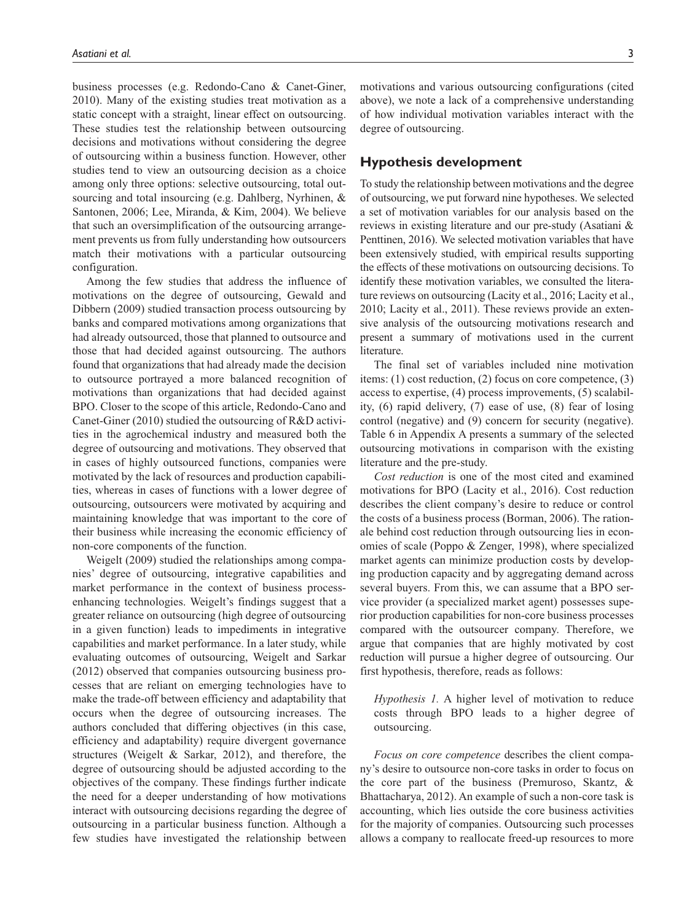business processes (e.g. Redondo-Cano & Canet-Giner, 2010). Many of the existing studies treat motivation as a static concept with a straight, linear effect on outsourcing. These studies test the relationship between outsourcing decisions and motivations without considering the degree of outsourcing within a business function. However, other studies tend to view an outsourcing decision as a choice among only three options: selective outsourcing, total outsourcing and total insourcing (e.g. Dahlberg, Nyrhinen, & Santonen, 2006; Lee, Miranda, & Kim, 2004). We believe that such an oversimplification of the outsourcing arrangement prevents us from fully understanding how outsourcers match their motivations with a particular outsourcing configuration.

Among the few studies that address the influence of motivations on the degree of outsourcing, Gewald and Dibbern (2009) studied transaction process outsourcing by banks and compared motivations among organizations that had already outsourced, those that planned to outsource and those that had decided against outsourcing. The authors found that organizations that had already made the decision to outsource portrayed a more balanced recognition of motivations than organizations that had decided against BPO. Closer to the scope of this article, Redondo-Cano and Canet-Giner (2010) studied the outsourcing of R&D activities in the agrochemical industry and measured both the degree of outsourcing and motivations. They observed that in cases of highly outsourced functions, companies were motivated by the lack of resources and production capabilities, whereas in cases of functions with a lower degree of outsourcing, outsourcers were motivated by acquiring and maintaining knowledge that was important to the core of their business while increasing the economic efficiency of non-core components of the function.

Weigelt (2009) studied the relationships among companies' degree of outsourcing, integrative capabilities and market performance in the context of business processenhancing technologies. Weigelt's findings suggest that a greater reliance on outsourcing (high degree of outsourcing in a given function) leads to impediments in integrative capabilities and market performance. In a later study, while evaluating outcomes of outsourcing, Weigelt and Sarkar (2012) observed that companies outsourcing business processes that are reliant on emerging technologies have to make the trade-off between efficiency and adaptability that occurs when the degree of outsourcing increases. The authors concluded that differing objectives (in this case, efficiency and adaptability) require divergent governance structures (Weigelt & Sarkar, 2012), and therefore, the degree of outsourcing should be adjusted according to the objectives of the company. These findings further indicate the need for a deeper understanding of how motivations interact with outsourcing decisions regarding the degree of outsourcing in a particular business function. Although a few studies have investigated the relationship between

motivations and various outsourcing configurations (cited above), we note a lack of a comprehensive understanding of how individual motivation variables interact with the degree of outsourcing.

# **Hypothesis development**

To study the relationship between motivations and the degree of outsourcing, we put forward nine hypotheses. We selected a set of motivation variables for our analysis based on the reviews in existing literature and our pre-study (Asatiani & Penttinen, 2016). We selected motivation variables that have been extensively studied, with empirical results supporting the effects of these motivations on outsourcing decisions. To identify these motivation variables, we consulted the literature reviews on outsourcing (Lacity et al., 2016; Lacity et al., 2010; Lacity et al., 2011). These reviews provide an extensive analysis of the outsourcing motivations research and present a summary of motivations used in the current literature.

The final set of variables included nine motivation items: (1) cost reduction, (2) focus on core competence, (3) access to expertise, (4) process improvements, (5) scalability, (6) rapid delivery, (7) ease of use, (8) fear of losing control (negative) and (9) concern for security (negative). Table 6 in Appendix A presents a summary of the selected outsourcing motivations in comparison with the existing literature and the pre-study.

*Cost reduction* is one of the most cited and examined motivations for BPO (Lacity et al., 2016). Cost reduction describes the client company's desire to reduce or control the costs of a business process (Borman, 2006). The rationale behind cost reduction through outsourcing lies in economies of scale (Poppo & Zenger, 1998), where specialized market agents can minimize production costs by developing production capacity and by aggregating demand across several buyers. From this, we can assume that a BPO service provider (a specialized market agent) possesses superior production capabilities for non-core business processes compared with the outsourcer company. Therefore, we argue that companies that are highly motivated by cost reduction will pursue a higher degree of outsourcing. Our first hypothesis, therefore, reads as follows:

*Hypothesis 1.* A higher level of motivation to reduce costs through BPO leads to a higher degree of outsourcing.

*Focus on core competence* describes the client company's desire to outsource non-core tasks in order to focus on the core part of the business (Premuroso, Skantz, & Bhattacharya, 2012). An example of such a non-core task is accounting, which lies outside the core business activities for the majority of companies. Outsourcing such processes allows a company to reallocate freed-up resources to more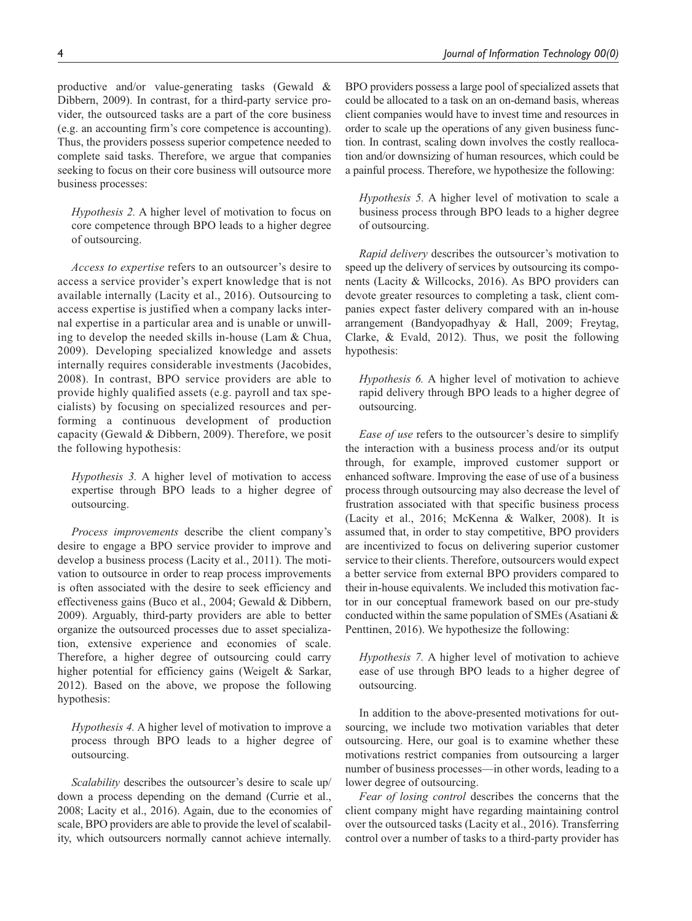productive and/or value-generating tasks (Gewald & Dibbern, 2009). In contrast, for a third-party service provider, the outsourced tasks are a part of the core business (e.g. an accounting firm's core competence is accounting). Thus, the providers possess superior competence needed to complete said tasks. Therefore, we argue that companies seeking to focus on their core business will outsource more business processes:

*Hypothesis 2.* A higher level of motivation to focus on core competence through BPO leads to a higher degree of outsourcing.

*Access to expertise* refers to an outsourcer's desire to access a service provider's expert knowledge that is not available internally (Lacity et al., 2016). Outsourcing to access expertise is justified when a company lacks internal expertise in a particular area and is unable or unwilling to develop the needed skills in-house (Lam & Chua, 2009). Developing specialized knowledge and assets internally requires considerable investments (Jacobides, 2008). In contrast, BPO service providers are able to provide highly qualified assets (e.g. payroll and tax specialists) by focusing on specialized resources and performing a continuous development of production capacity (Gewald & Dibbern, 2009). Therefore, we posit the following hypothesis:

*Hypothesis 3.* A higher level of motivation to access expertise through BPO leads to a higher degree of outsourcing.

*Process improvements* describe the client company's desire to engage a BPO service provider to improve and develop a business process (Lacity et al., 2011). The motivation to outsource in order to reap process improvements is often associated with the desire to seek efficiency and effectiveness gains (Buco et al., 2004; Gewald & Dibbern, 2009). Arguably, third-party providers are able to better organize the outsourced processes due to asset specialization, extensive experience and economies of scale. Therefore, a higher degree of outsourcing could carry higher potential for efficiency gains (Weigelt & Sarkar, 2012). Based on the above, we propose the following hypothesis:

*Hypothesis 4.* A higher level of motivation to improve a process through BPO leads to a higher degree of outsourcing.

*Scalability* describes the outsourcer's desire to scale up/ down a process depending on the demand (Currie et al., 2008; Lacity et al., 2016). Again, due to the economies of scale, BPO providers are able to provide the level of scalability, which outsourcers normally cannot achieve internally.

BPO providers possess a large pool of specialized assets that could be allocated to a task on an on-demand basis, whereas client companies would have to invest time and resources in order to scale up the operations of any given business function. In contrast, scaling down involves the costly reallocation and/or downsizing of human resources, which could be a painful process. Therefore, we hypothesize the following:

*Hypothesis 5.* A higher level of motivation to scale a business process through BPO leads to a higher degree of outsourcing.

*Rapid delivery* describes the outsourcer's motivation to speed up the delivery of services by outsourcing its components (Lacity & Willcocks, 2016). As BPO providers can devote greater resources to completing a task, client companies expect faster delivery compared with an in-house arrangement (Bandyopadhyay & Hall, 2009; Freytag, Clarke, & Evald, 2012). Thus, we posit the following hypothesis:

*Hypothesis 6.* A higher level of motivation to achieve rapid delivery through BPO leads to a higher degree of outsourcing.

*Ease of use* refers to the outsourcer's desire to simplify the interaction with a business process and/or its output through, for example, improved customer support or enhanced software. Improving the ease of use of a business process through outsourcing may also decrease the level of frustration associated with that specific business process (Lacity et al., 2016; McKenna & Walker, 2008). It is assumed that, in order to stay competitive, BPO providers are incentivized to focus on delivering superior customer service to their clients. Therefore, outsourcers would expect a better service from external BPO providers compared to their in-house equivalents. We included this motivation factor in our conceptual framework based on our pre-study conducted within the same population of SMEs (Asatiani & Penttinen, 2016). We hypothesize the following:

*Hypothesis 7.* A higher level of motivation to achieve ease of use through BPO leads to a higher degree of outsourcing.

In addition to the above-presented motivations for outsourcing, we include two motivation variables that deter outsourcing. Here, our goal is to examine whether these motivations restrict companies from outsourcing a larger number of business processes—in other words, leading to a lower degree of outsourcing.

*Fear of losing control* describes the concerns that the client company might have regarding maintaining control over the outsourced tasks (Lacity et al., 2016). Transferring control over a number of tasks to a third-party provider has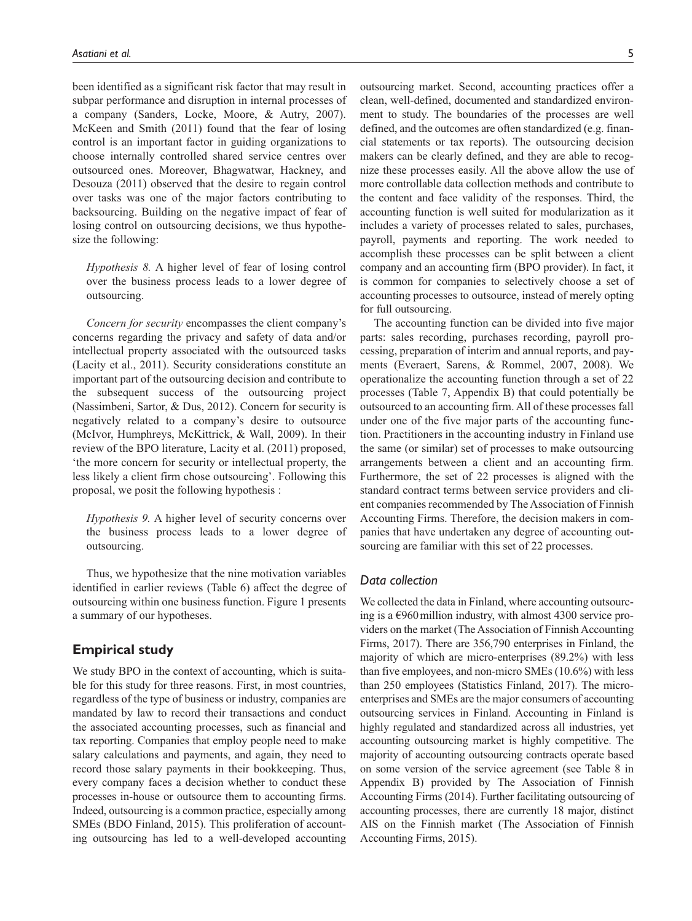been identified as a significant risk factor that may result in subpar performance and disruption in internal processes of a company (Sanders, Locke, Moore, & Autry, 2007). McKeen and Smith (2011) found that the fear of losing control is an important factor in guiding organizations to choose internally controlled shared service centres over outsourced ones. Moreover, Bhagwatwar, Hackney, and Desouza (2011) observed that the desire to regain control over tasks was one of the major factors contributing to backsourcing. Building on the negative impact of fear of losing control on outsourcing decisions, we thus hypothesize the following:

*Hypothesis 8.* A higher level of fear of losing control over the business process leads to a lower degree of outsourcing.

*Concern for security* encompasses the client company's concerns regarding the privacy and safety of data and/or intellectual property associated with the outsourced tasks (Lacity et al., 2011). Security considerations constitute an important part of the outsourcing decision and contribute to the subsequent success of the outsourcing project (Nassimbeni, Sartor, & Dus, 2012). Concern for security is negatively related to a company's desire to outsource (McIvor, Humphreys, McKittrick, & Wall, 2009). In their review of the BPO literature, Lacity et al. (2011) proposed, 'the more concern for security or intellectual property, the less likely a client firm chose outsourcing'. Following this proposal, we posit the following hypothesis :

*Hypothesis 9.* A higher level of security concerns over the business process leads to a lower degree of outsourcing.

Thus, we hypothesize that the nine motivation variables identified in earlier reviews (Table 6) affect the degree of outsourcing within one business function. Figure 1 presents a summary of our hypotheses.

# **Empirical study**

We study BPO in the context of accounting, which is suitable for this study for three reasons. First, in most countries, regardless of the type of business or industry, companies are mandated by law to record their transactions and conduct the associated accounting processes, such as financial and tax reporting. Companies that employ people need to make salary calculations and payments, and again, they need to record those salary payments in their bookkeeping. Thus, every company faces a decision whether to conduct these processes in-house or outsource them to accounting firms. Indeed, outsourcing is a common practice, especially among SMEs (BDO Finland, 2015). This proliferation of accounting outsourcing has led to a well-developed accounting

outsourcing market. Second, accounting practices offer a clean, well-defined, documented and standardized environment to study. The boundaries of the processes are well defined, and the outcomes are often standardized (e.g. financial statements or tax reports). The outsourcing decision makers can be clearly defined, and they are able to recognize these processes easily. All the above allow the use of more controllable data collection methods and contribute to the content and face validity of the responses. Third, the accounting function is well suited for modularization as it includes a variety of processes related to sales, purchases, payroll, payments and reporting. The work needed to accomplish these processes can be split between a client company and an accounting firm (BPO provider). In fact, it is common for companies to selectively choose a set of accounting processes to outsource, instead of merely opting for full outsourcing.

The accounting function can be divided into five major parts: sales recording, purchases recording, payroll processing, preparation of interim and annual reports, and payments (Everaert, Sarens, & Rommel, 2007, 2008). We operationalize the accounting function through a set of 22 processes (Table 7, Appendix B) that could potentially be outsourced to an accounting firm. All of these processes fall under one of the five major parts of the accounting function. Practitioners in the accounting industry in Finland use the same (or similar) set of processes to make outsourcing arrangements between a client and an accounting firm. Furthermore, the set of 22 processes is aligned with the standard contract terms between service providers and client companies recommended by The Association of Finnish Accounting Firms. Therefore, the decision makers in companies that have undertaken any degree of accounting outsourcing are familiar with this set of 22 processes.

### *Data collection*

We collected the data in Finland, where accounting outsourcing is a  $\epsilon$ 960 million industry, with almost 4300 service providers on the market (The Association of Finnish Accounting Firms, 2017). There are 356,790 enterprises in Finland, the majority of which are micro-enterprises (89.2%) with less than five employees, and non-micro SMEs (10.6%) with less than 250 employees (Statistics Finland, 2017). The microenterprises and SMEs are the major consumers of accounting outsourcing services in Finland. Accounting in Finland is highly regulated and standardized across all industries, yet accounting outsourcing market is highly competitive. The majority of accounting outsourcing contracts operate based on some version of the service agreement (see Table 8 in Appendix B) provided by The Association of Finnish Accounting Firms (2014). Further facilitating outsourcing of accounting processes, there are currently 18 major, distinct AIS on the Finnish market (The Association of Finnish Accounting Firms, 2015).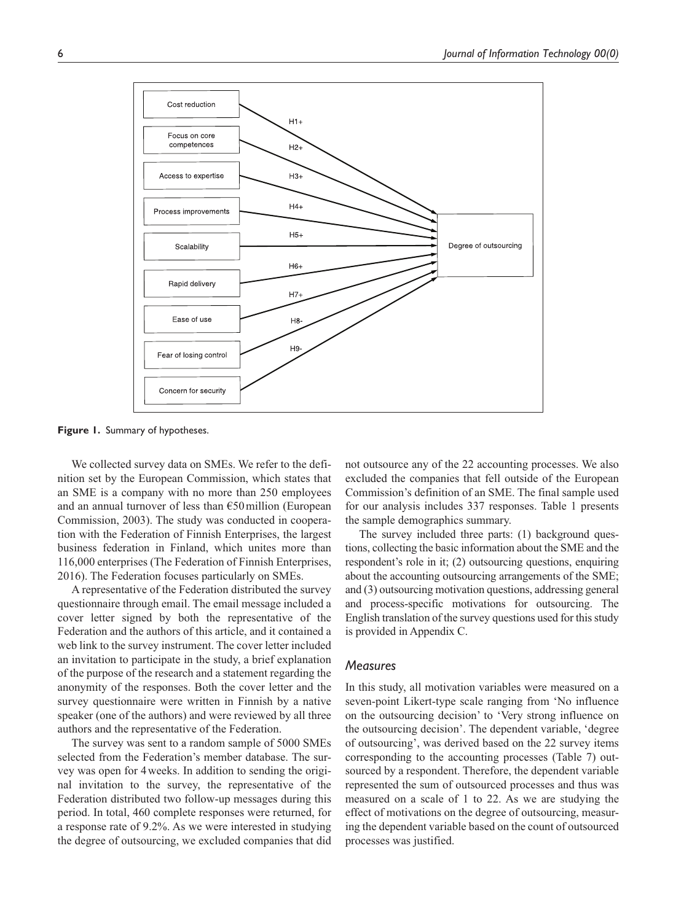

**Figure 1.** Summary of hypotheses.

We collected survey data on SMEs. We refer to the definition set by the European Commission, which states that an SME is a company with no more than 250 employees and an annual turnover of less than  $\epsilon$ 50 million (European Commission, 2003). The study was conducted in cooperation with the Federation of Finnish Enterprises, the largest business federation in Finland, which unites more than 116,000 enterprises (The Federation of Finnish Enterprises, 2016). The Federation focuses particularly on SMEs.

A representative of the Federation distributed the survey questionnaire through email. The email message included a cover letter signed by both the representative of the Federation and the authors of this article, and it contained a web link to the survey instrument. The cover letter included an invitation to participate in the study, a brief explanation of the purpose of the research and a statement regarding the anonymity of the responses. Both the cover letter and the survey questionnaire were written in Finnish by a native speaker (one of the authors) and were reviewed by all three authors and the representative of the Federation.

The survey was sent to a random sample of 5000 SMEs selected from the Federation's member database. The survey was open for 4weeks. In addition to sending the original invitation to the survey, the representative of the Federation distributed two follow-up messages during this period. In total, 460 complete responses were returned, for a response rate of 9.2%. As we were interested in studying the degree of outsourcing, we excluded companies that did not outsource any of the 22 accounting processes. We also excluded the companies that fell outside of the European Commission's definition of an SME. The final sample used for our analysis includes 337 responses. Table 1 presents the sample demographics summary.

The survey included three parts: (1) background questions, collecting the basic information about the SME and the respondent's role in it; (2) outsourcing questions, enquiring about the accounting outsourcing arrangements of the SME; and (3) outsourcing motivation questions, addressing general and process-specific motivations for outsourcing. The English translation of the survey questions used for this study is provided in Appendix C.

### *Measures*

In this study, all motivation variables were measured on a seven-point Likert-type scale ranging from 'No influence on the outsourcing decision' to 'Very strong influence on the outsourcing decision'. The dependent variable, 'degree of outsourcing', was derived based on the 22 survey items corresponding to the accounting processes (Table 7) outsourced by a respondent. Therefore, the dependent variable represented the sum of outsourced processes and thus was measured on a scale of 1 to 22. As we are studying the effect of motivations on the degree of outsourcing, measuring the dependent variable based on the count of outsourced processes was justified.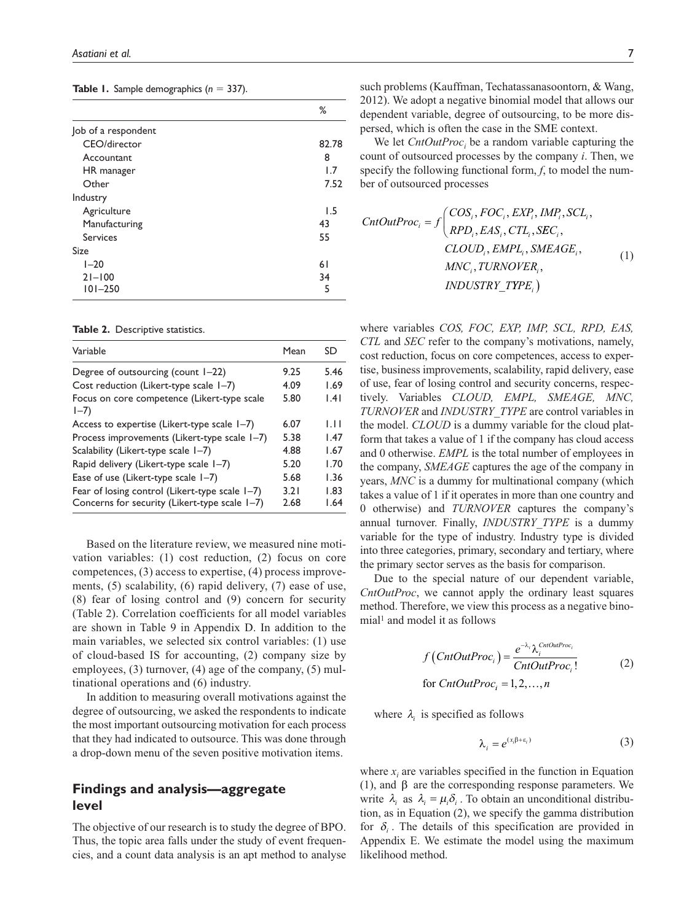|  |  |  | <b>Table 1.</b> Sample demographics $(n = 337)$ . |  |  |
|--|--|--|---------------------------------------------------|--|--|
|--|--|--|---------------------------------------------------|--|--|

|                     | ℅     |
|---------------------|-------|
| Job of a respondent |       |
| CEO/director        | 82.78 |
| Accountant          | 8     |
| HR manager          | 1.7   |
| Other               | 7.52  |
| Industry            |       |
| Agriculture         | 1.5   |
| Manufacturing       | 43    |
| <b>Services</b>     | 55    |
| <b>Size</b>         |       |
| $1 - 20$            | 61    |
| $21 - 100$          | 34    |
| $101 - 250$         | 5     |

**Table 2.** Descriptive statistics.

| Variable                                                                                        | Mean         | SD            |
|-------------------------------------------------------------------------------------------------|--------------|---------------|
| Degree of outsourcing (count $1-22$ )                                                           | 9.25         | 5.46          |
| Cost reduction (Likert-type scale I-7)                                                          | 4.09         | 1.69          |
| Focus on core competence (Likert-type scale<br>$I - 7$                                          | 5.80         | 1.41          |
| Access to expertise (Likert-type scale I-7)                                                     | 6.07         | LH            |
| Process improvements (Likert-type scale 1-7)                                                    | 5.38         | 1.47          |
| Scalability (Likert-type scale 1-7)                                                             | 4.88         | 1.67          |
| Rapid delivery (Likert-type scale 1-7)                                                          | 5.20         | 1.70          |
| Ease of use (Likert-type scale I-7)                                                             | 5.68         | 1.36          |
| Fear of losing control (Likert-type scale 1-7)<br>Concerns for security (Likert-type scale 1-7) | 3.21<br>2.68 | 1.83<br>64. ا |

Based on the literature review, we measured nine motivation variables: (1) cost reduction, (2) focus on core competences, (3) access to expertise, (4) process improvements, (5) scalability, (6) rapid delivery, (7) ease of use, (8) fear of losing control and (9) concern for security (Table 2). Correlation coefficients for all model variables are shown in Table 9 in Appendix D. In addition to the main variables, we selected six control variables: (1) use of cloud-based IS for accounting, (2) company size by employees, (3) turnover, (4) age of the company, (5) multinational operations and (6) industry.

In addition to measuring overall motivations against the degree of outsourcing, we asked the respondents to indicate the most important outsourcing motivation for each process that they had indicated to outsource. This was done through a drop-down menu of the seven positive motivation items.

# **Findings and analysis—aggregate level**

The objective of our research is to study the degree of BPO. Thus, the topic area falls under the study of event frequencies, and a count data analysis is an apt method to analyse such problems (Kauffman, Techatassanasoontorn, & Wang, 2012). We adopt a negative binomial model that allows our dependent variable, degree of outsourcing, to be more dispersed, which is often the case in the SME context.

We let  $CntOutProc<sub>i</sub>$  be a random variable capturing the count of outsourced processes by the company *i*. Then, we specify the following functional form, *f*, to model the number of outsourced processes

$$
CntOutProc_i = f\begin{pmatrix} COS_i, FOC_i, EXP_i, IMP_i, SCL_i, \\ RPD_i, EAS_i, CTL_i, SEC_i, \\ CLOUD_i, EMPL_i, SMEAGE_i, \\ MNC_i, TURNOVER_i, \\ INDUSTRY_TYPE_i) \end{pmatrix}
$$
(1)

where variables *COS, FOC, EXP, IMP, SCL, RPD, EAS, CTL* and *SEC* refer to the company's motivations, namely, cost reduction, focus on core competences, access to expertise, business improvements, scalability, rapid delivery, ease of use, fear of losing control and security concerns, respectively. Variables *CLOUD, EMPL, SMEAGE, MNC, TURNOVER* and *INDUSTRY\_TYPE* are control variables in the model. *CLOUD* is a dummy variable for the cloud platform that takes a value of 1 if the company has cloud access and 0 otherwise. *EMPL* is the total number of employees in the company, *SMEAGE* captures the age of the company in years, *MNC* is a dummy for multinational company (which takes a value of 1 if it operates in more than one country and 0 otherwise) and *TURNOVER* captures the company's annual turnover. Finally, *INDUSTRY\_TYPE* is a dummy variable for the type of industry. Industry type is divided into three categories, primary, secondary and tertiary, where the primary sector serves as the basis for comparison.

Due to the special nature of our dependent variable, *CntOutProc*, we cannot apply the ordinary least squares method. Therefore, we view this process as a negative binomial<sup>1</sup> and model it as follows

$$
f\left(EntOutProc_i\right) = \frac{e^{-\lambda_i}\lambda_i^{ChIOutProc_i}}{CntOutProc_i!}
$$
\nfor  $ContOutProc_i = 1, 2, ..., n$  (2)

where  $\lambda_i$  is specified as follows

$$
\lambda_i = e^{(x_i \beta + \varepsilon_i)} \tag{3}
$$

where  $x_i$  are variables specified in the function in Equation (1), and β are the corresponding response parameters. We write  $\lambda_i$  as  $\lambda_i = \mu_i \delta_i$ . To obtain an unconditional distribution, as in Equation (2), we specify the gamma distribution for  $\delta$ . The details of this specification are provided in Appendix E. We estimate the model using the maximum likelihood method.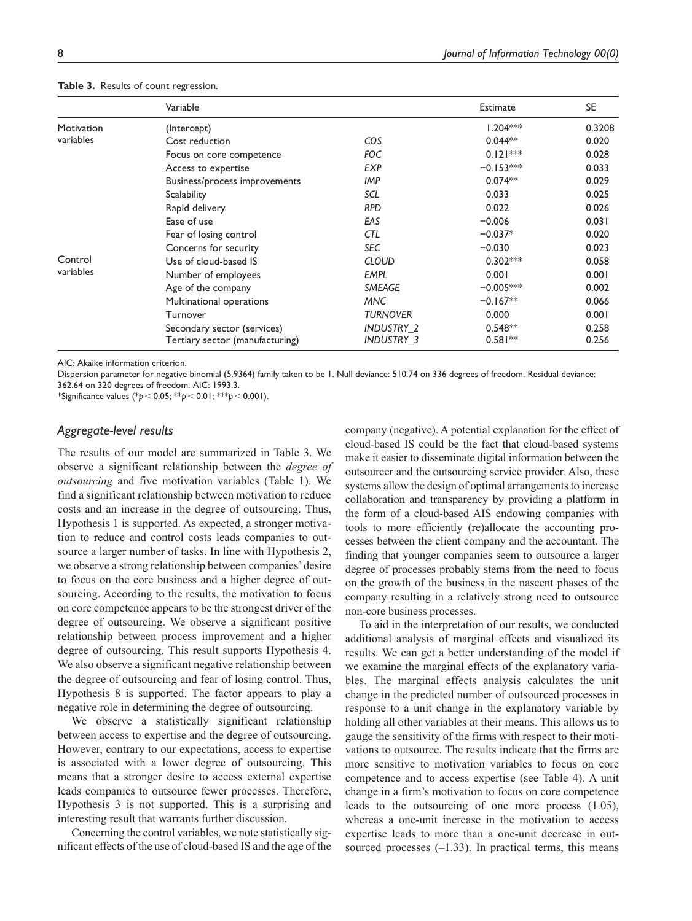|            | Variable                        |                   | Estimate    | <b>SE</b> |
|------------|---------------------------------|-------------------|-------------|-----------|
| Motivation | (Intercept)                     |                   | $1.204***$  | 0.3208    |
| variables  | Cost reduction                  | <b>COS</b>        | $0.044**$   | 0.020     |
|            | Focus on core competence        | FOC               | $0.121***$  | 0.028     |
|            | Access to expertise             | <b>EXP</b>        | $-0.153***$ | 0.033     |
|            | Business/process improvements   | IMP               | $0.074**$   | 0.029     |
|            | <b>Scalability</b>              | SCL               | 0.033       | 0.025     |
|            | Rapid delivery                  | <b>RPD</b>        | 0.022       | 0.026     |
|            | Ease of use                     | EAS               | $-0.006$    | 0.031     |
|            | Fear of losing control          | CTL               | $-0.037*$   | 0.020     |
|            | Concerns for security           | <b>SEC</b>        | $-0.030$    | 0.023     |
| Control    | Use of cloud-based IS           | <b>CLOUD</b>      | $0.302***$  | 0.058     |
| variables  | Number of employees             | <b>EMPL</b>       | 0.001       | 0.001     |
|            | Age of the company              | <b>SMEAGE</b>     | $-0.005***$ | 0.002     |
|            | Multinational operations        | MNC               | $-0.167**$  | 0.066     |
|            | Turnover                        | <b>TURNOVER</b>   | 0.000       | 0.001     |
|            | Secondary sector (services)     | INDUSTRY 2        | $0.548**$   | 0.258     |
|            | Tertiary sector (manufacturing) | <b>INDUSTRY 3</b> | $0.581**$   | 0.256     |

#### **Table 3.** Results of count regression.

AIC: Akaike information criterion.

Dispersion parameter for negative binomial (5.9364) family taken to be 1. Null deviance: 510.74 on 336 degrees of freedom. Residual deviance:

362.64 on 320 degrees of freedom. AIC: 1993.3. \*Significance values (\**p*<0.05; \*\**p*<0.01; \*\*\**p*<0.001).

#### *Aggregate-level results*

The results of our model are summarized in Table 3. We observe a significant relationship between the *degree of outsourcing* and five motivation variables (Table 1). We find a significant relationship between motivation to reduce costs and an increase in the degree of outsourcing. Thus, Hypothesis 1 is supported. As expected, a stronger motivation to reduce and control costs leads companies to outsource a larger number of tasks. In line with Hypothesis 2, we observe a strong relationship between companies' desire to focus on the core business and a higher degree of outsourcing. According to the results, the motivation to focus on core competence appears to be the strongest driver of the degree of outsourcing. We observe a significant positive relationship between process improvement and a higher degree of outsourcing. This result supports Hypothesis 4. We also observe a significant negative relationship between the degree of outsourcing and fear of losing control. Thus, Hypothesis 8 is supported. The factor appears to play a negative role in determining the degree of outsourcing.

We observe a statistically significant relationship between access to expertise and the degree of outsourcing. However, contrary to our expectations, access to expertise is associated with a lower degree of outsourcing. This means that a stronger desire to access external expertise leads companies to outsource fewer processes. Therefore, Hypothesis 3 is not supported. This is a surprising and interesting result that warrants further discussion.

Concerning the control variables, we note statistically significant effects of the use of cloud-based IS and the age of the company (negative). A potential explanation for the effect of cloud-based IS could be the fact that cloud-based systems make it easier to disseminate digital information between the outsourcer and the outsourcing service provider. Also, these systems allow the design of optimal arrangements to increase collaboration and transparency by providing a platform in the form of a cloud-based AIS endowing companies with tools to more efficiently (re)allocate the accounting processes between the client company and the accountant. The finding that younger companies seem to outsource a larger degree of processes probably stems from the need to focus on the growth of the business in the nascent phases of the company resulting in a relatively strong need to outsource non-core business processes.

To aid in the interpretation of our results, we conducted additional analysis of marginal effects and visualized its results. We can get a better understanding of the model if we examine the marginal effects of the explanatory variables. The marginal effects analysis calculates the unit change in the predicted number of outsourced processes in response to a unit change in the explanatory variable by holding all other variables at their means. This allows us to gauge the sensitivity of the firms with respect to their motivations to outsource. The results indicate that the firms are more sensitive to motivation variables to focus on core competence and to access expertise (see Table 4). A unit change in a firm's motivation to focus on core competence leads to the outsourcing of one more process (1.05), whereas a one-unit increase in the motivation to access expertise leads to more than a one-unit decrease in outsourced processes  $(-1.33)$ . In practical terms, this means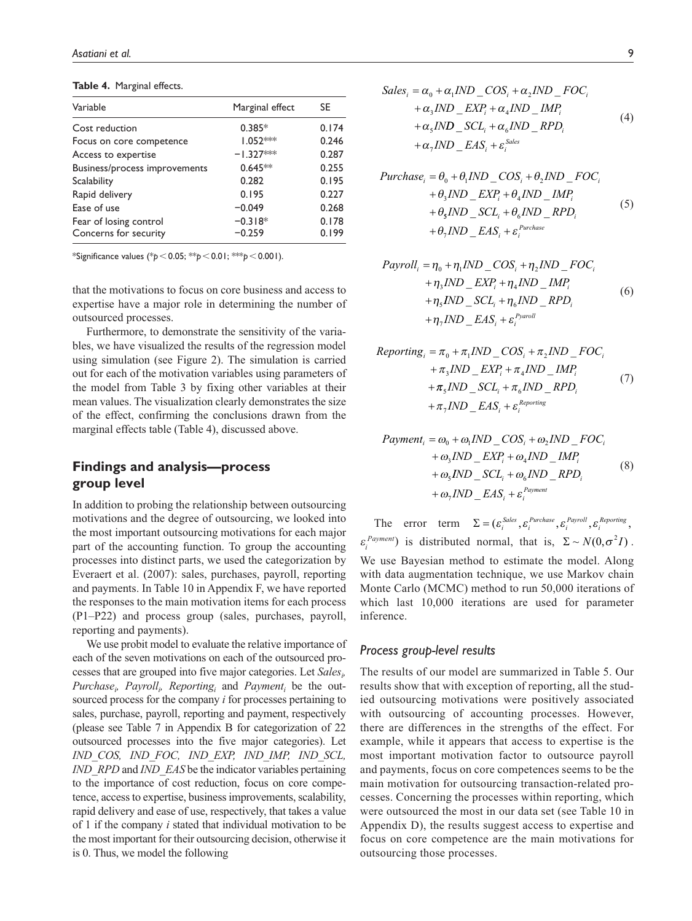#### **Table 4.** Marginal effects.

| Variable                      | Marginal effect | SE.   |
|-------------------------------|-----------------|-------|
| Cost reduction                | $0.385*$        | 0.174 |
| Focus on core competence      | $1.052***$      | 0.246 |
| Access to expertise           | $-1.327***$     | 0.287 |
| Business/process improvements | $0.645**$       | 0.255 |
| <b>Scalability</b>            | 0.282           | 0.195 |
| Rapid delivery                | 0.195           | 0.227 |
| Ease of use                   | $-0.049$        | 0.268 |
| Fear of losing control        | $-0.318*$       | 0.178 |
| Concerns for security         | $-0.259$        | 0.199 |

\*Significance values (\**p*<0.05; \*\**p*<0.01; \*\*\**p*<0.001).

that the motivations to focus on core business and access to expertise have a major role in determining the number of outsourced processes.

Furthermore, to demonstrate the sensitivity of the variables, we have visualized the results of the regression model using simulation (see Figure 2). The simulation is carried out for each of the motivation variables using parameters of the model from Table 3 by fixing other variables at their mean values. The visualization clearly demonstrates the size of the effect, confirming the conclusions drawn from the marginal effects table (Table 4), discussed above.

# **Findings and analysis—process group level**

In addition to probing the relationship between outsourcing motivations and the degree of outsourcing, we looked into the most important outsourcing motivations for each major part of the accounting function. To group the accounting processes into distinct parts, we used the categorization by Everaert et al. (2007): sales, purchases, payroll, reporting and payments. In Table 10 in Appendix F, we have reported the responses to the main motivation items for each process (P1–P22) and process group (sales, purchases, payroll, reporting and payments).

We use probit model to evaluate the relative importance of each of the seven motivations on each of the outsourced processes that are grouped into five major categories. Let *Sales<sub>i</sub>*,  $Purchase<sub>i</sub>$   $Payroll<sub>i</sub>$ ,  $Reporting<sub>i</sub>$  and  $Payment<sub>i</sub>$  be the outsourced process for the company *i* for processes pertaining to sales, purchase, payroll, reporting and payment, respectively (please see Table 7 in Appendix B for categorization of 22 outsourced processes into the five major categories). Let *IND\_COS, IND\_FOC, IND\_EXP, IND\_IMP, IND\_SCL, IND\_RPD* and *IND\_EAS* be the indicator variables pertaining to the importance of cost reduction, focus on core competence, access to expertise, business improvements, scalability, rapid delivery and ease of use, respectively, that takes a value of 1 if the company *i* stated that individual motivation to be the most important for their outsourcing decision, otherwise it is 0. Thus, we model the following

$$
Sales_i = \alpha_0 + \alpha_1 IND \_{COS_i} + \alpha_2 IND \_{FOC_i}
$$
  
+  $\alpha_3 IND \_{EXP_i} + \alpha_4 IND \_{IMP_i}$   
+  $\alpha_5 IND \_{SCL_i} + \alpha_6 IND \_{RPD_i}$   
+  $\alpha_7 IND \_{EAS_i} + \varepsilon_i^{Sales}$  (4)

$$
Purchase_i = \theta_0 + \theta_1 IND \_COS_i + \theta_2 IND \_FOC_i
$$
  
+  $\theta_3 IND \_EXP_i + \theta_4 IND \_IMP_i$   
+  $\theta_5 IND \_SCL_i + \theta_6 IND \_RPD_i$   
+  $\theta_7 IND \_EAS_i + \varepsilon_i^{Purchase}$  (5)

$$
Payroll_i = \eta_0 + \eta_1 IND \_{COS_i} + \eta_2 IND \_{FOC_i}
$$
  
+  $\eta_3 IND \_{EXP_i} + \eta_4 IND \_{IMP_i}$   
+  $\eta_5 IND \_{SCL_i} + \eta_6 IND \_{RPD_i}$   
+  $\eta_7 IND \_{EAS_i} + \varepsilon_i^{Pyoroll}$  (6)

$$
Reporting_i = \pi_0 + \pi_1 IND \_{COS_i} + \pi_2 IND \_{FOC_i}
$$
  
+  $\pi_3 IND \_{EXP_i} + \pi_4 IND \_{IMP_i}$   
+  $\pi_5 IND \_{SCL_i} + \pi_6 IND \_{RPD_i}$  (7)  
+  $\pi_7 IND \_{EAS_i} + \varepsilon_i^{Reporting}$ 

$$
Payment_{i} = \omega_{0} + \omega_{1}IND\_COS_{i} + \omega_{2}IND\_FOC_{i}
$$
  
+  $\omega_{3}IND\_EXP_{i} + \omega_{4}IND\_IMP_{i}$   
+  $\omega_{5}IND\_SCL_{i} + \omega_{6}IND\_RPD_{i}$   
+  $\omega_{7}IND\_EAS_{i} + \varepsilon_{i}^{Payment}$  (8)

The error term  $\Sigma = (\varepsilon_i^{Sales}, \varepsilon_i^{Purchase}, \varepsilon_i^{Payroll}, \varepsilon_i^{Reporting},$  $\varepsilon_i^{Payment}$  is distributed normal, that is,  $\Sigma \sim N(0, \sigma^2 I)$ . We use Bayesian method to estimate the model. Along with data augmentation technique, we use Markov chain Monte Carlo (MCMC) method to run 50,000 iterations of which last 10,000 iterations are used for parameter inference.

#### *Process group-level results*

The results of our model are summarized in Table 5. Our results show that with exception of reporting, all the studied outsourcing motivations were positively associated with outsourcing of accounting processes. However, there are differences in the strengths of the effect. For example, while it appears that access to expertise is the most important motivation factor to outsource payroll and payments, focus on core competences seems to be the main motivation for outsourcing transaction-related processes. Concerning the processes within reporting, which were outsourced the most in our data set (see Table 10 in Appendix D), the results suggest access to expertise and focus on core competence are the main motivations for outsourcing those processes.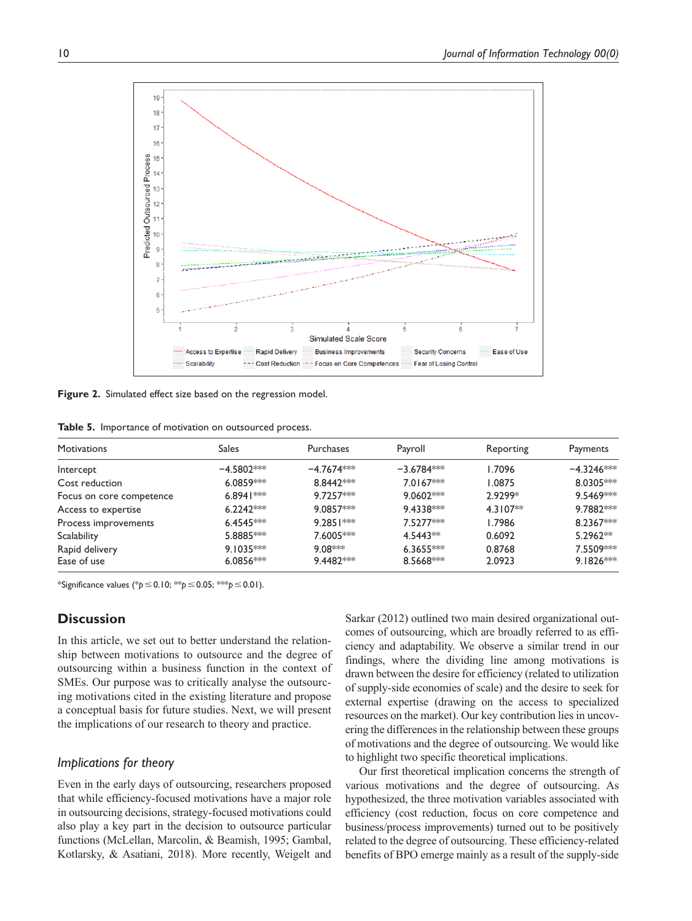

**Figure 2.** Simulated effect size based on the regression model.

**Table 5.** Importance of motivation on outsourced process.

| <b>Motivations</b>       | <b>Sales</b> | <b>Purchases</b> | Payroll              | Reporting  | Payments     |
|--------------------------|--------------|------------------|----------------------|------------|--------------|
| Intercept                | $-4.5802***$ | $-4.7674***$     | $-3.6784***$         | 1.7096     | $-4.3246***$ |
| Cost reduction           | $6.0859***$  | 8.8442***        | $7.0167***$          | 1.0875     | 8.0305***    |
| Focus on core competence | $6.8941***$  | $9.7257***$      | $9.0602***$          | 2.9299*    | 9.5469***    |
| Access to expertise      | $6.2242***$  | $9.0857***$      | $9.4338***$          | $4.3107**$ | 9.7882***    |
| Process improvements     | $6.4545***$  | $9.2851***$      | 7.5277***            | 1.7986     | 8.2367**     |
| Scalability              | $5.8885***$  | 7.6005***        | 4.5443 <sup>**</sup> | 0.6092     | $5.2962**$   |
| Rapid delivery           | $9.1035***$  | 9 08***          | $6.3655***$          | 0.8768     | 7.5509***    |
| Ease of use              | $6.0856***$  | $9.4482***$      | $8.5668***$          | 2.0923     | $9.1826***$  |

\*Significance values (\**p*≤0.10; \*\**p*≤0.05; \*\*\**p*≤0.01).

## **Discussion**

In this article, we set out to better understand the relationship between motivations to outsource and the degree of outsourcing within a business function in the context of SMEs. Our purpose was to critically analyse the outsourcing motivations cited in the existing literature and propose a conceptual basis for future studies. Next, we will present the implications of our research to theory and practice.

### *Implications for theory*

Even in the early days of outsourcing, researchers proposed that while efficiency-focused motivations have a major role in outsourcing decisions, strategy-focused motivations could also play a key part in the decision to outsource particular functions (McLellan, Marcolin, & Beamish, 1995; Gambal, Kotlarsky, & Asatiani, 2018). More recently, Weigelt and Sarkar (2012) outlined two main desired organizational outcomes of outsourcing, which are broadly referred to as efficiency and adaptability. We observe a similar trend in our findings, where the dividing line among motivations is drawn between the desire for efficiency (related to utilization of supply-side economies of scale) and the desire to seek for external expertise (drawing on the access to specialized resources on the market). Our key contribution lies in uncovering the differences in the relationship between these groups of motivations and the degree of outsourcing. We would like to highlight two specific theoretical implications.

Our first theoretical implication concerns the strength of various motivations and the degree of outsourcing. As hypothesized, the three motivation variables associated with efficiency (cost reduction, focus on core competence and business/process improvements) turned out to be positively related to the degree of outsourcing. These efficiency-related benefits of BPO emerge mainly as a result of the supply-side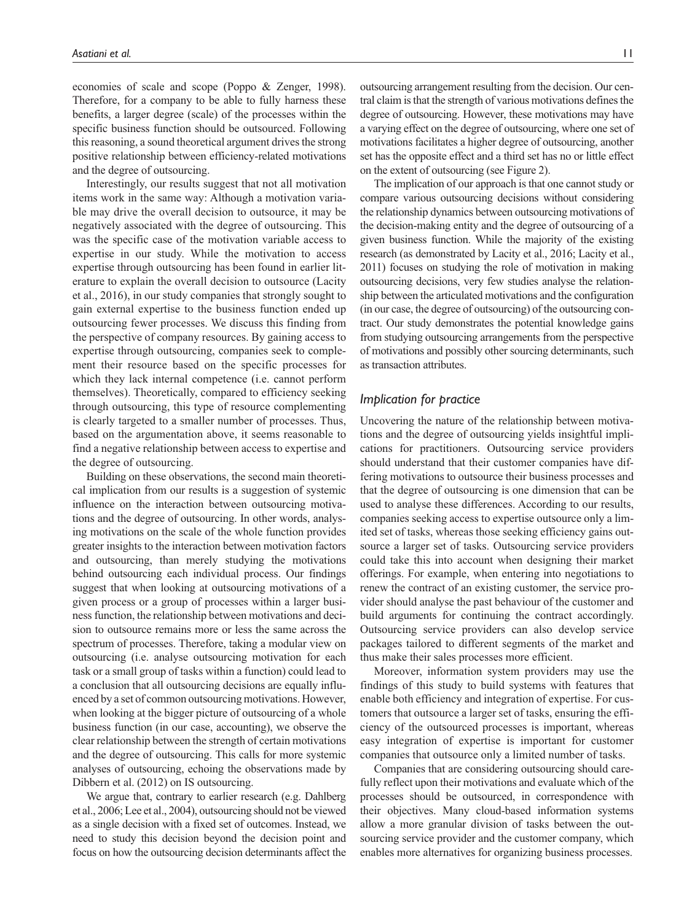economies of scale and scope (Poppo & Zenger, 1998). Therefore, for a company to be able to fully harness these benefits, a larger degree (scale) of the processes within the specific business function should be outsourced. Following this reasoning, a sound theoretical argument drives the strong positive relationship between efficiency-related motivations and the degree of outsourcing.

Interestingly, our results suggest that not all motivation items work in the same way: Although a motivation variable may drive the overall decision to outsource, it may be negatively associated with the degree of outsourcing. This was the specific case of the motivation variable access to expertise in our study. While the motivation to access expertise through outsourcing has been found in earlier literature to explain the overall decision to outsource (Lacity et al., 2016), in our study companies that strongly sought to gain external expertise to the business function ended up outsourcing fewer processes. We discuss this finding from the perspective of company resources. By gaining access to expertise through outsourcing, companies seek to complement their resource based on the specific processes for which they lack internal competence (i.e. cannot perform themselves). Theoretically, compared to efficiency seeking through outsourcing, this type of resource complementing is clearly targeted to a smaller number of processes. Thus, based on the argumentation above, it seems reasonable to find a negative relationship between access to expertise and the degree of outsourcing.

Building on these observations, the second main theoretical implication from our results is a suggestion of systemic influence on the interaction between outsourcing motivations and the degree of outsourcing. In other words, analysing motivations on the scale of the whole function provides greater insights to the interaction between motivation factors and outsourcing, than merely studying the motivations behind outsourcing each individual process. Our findings suggest that when looking at outsourcing motivations of a given process or a group of processes within a larger business function, the relationship between motivations and decision to outsource remains more or less the same across the spectrum of processes. Therefore, taking a modular view on outsourcing (i.e. analyse outsourcing motivation for each task or a small group of tasks within a function) could lead to a conclusion that all outsourcing decisions are equally influenced by a set of common outsourcing motivations. However, when looking at the bigger picture of outsourcing of a whole business function (in our case, accounting), we observe the clear relationship between the strength of certain motivations and the degree of outsourcing. This calls for more systemic analyses of outsourcing, echoing the observations made by Dibbern et al. (2012) on IS outsourcing.

We argue that, contrary to earlier research (e.g. Dahlberg et al., 2006; Lee et al., 2004), outsourcing should not be viewed as a single decision with a fixed set of outcomes. Instead, we need to study this decision beyond the decision point and focus on how the outsourcing decision determinants affect the

outsourcing arrangement resulting from the decision. Our central claim is that the strength of various motivations defines the degree of outsourcing. However, these motivations may have a varying effect on the degree of outsourcing, where one set of motivations facilitates a higher degree of outsourcing, another set has the opposite effect and a third set has no or little effect on the extent of outsourcing (see Figure 2).

The implication of our approach is that one cannot study or compare various outsourcing decisions without considering the relationship dynamics between outsourcing motivations of the decision-making entity and the degree of outsourcing of a given business function. While the majority of the existing research (as demonstrated by Lacity et al., 2016; Lacity et al., 2011) focuses on studying the role of motivation in making outsourcing decisions, very few studies analyse the relationship between the articulated motivations and the configuration (in our case, the degree of outsourcing) of the outsourcing contract. Our study demonstrates the potential knowledge gains from studying outsourcing arrangements from the perspective of motivations and possibly other sourcing determinants, such as transaction attributes.

## *Implication for practice*

Uncovering the nature of the relationship between motivations and the degree of outsourcing yields insightful implications for practitioners. Outsourcing service providers should understand that their customer companies have differing motivations to outsource their business processes and that the degree of outsourcing is one dimension that can be used to analyse these differences. According to our results, companies seeking access to expertise outsource only a limited set of tasks, whereas those seeking efficiency gains outsource a larger set of tasks. Outsourcing service providers could take this into account when designing their market offerings. For example, when entering into negotiations to renew the contract of an existing customer, the service provider should analyse the past behaviour of the customer and build arguments for continuing the contract accordingly. Outsourcing service providers can also develop service packages tailored to different segments of the market and thus make their sales processes more efficient.

Moreover, information system providers may use the findings of this study to build systems with features that enable both efficiency and integration of expertise. For customers that outsource a larger set of tasks, ensuring the efficiency of the outsourced processes is important, whereas easy integration of expertise is important for customer companies that outsource only a limited number of tasks.

Companies that are considering outsourcing should carefully reflect upon their motivations and evaluate which of the processes should be outsourced, in correspondence with their objectives. Many cloud-based information systems allow a more granular division of tasks between the outsourcing service provider and the customer company, which enables more alternatives for organizing business processes.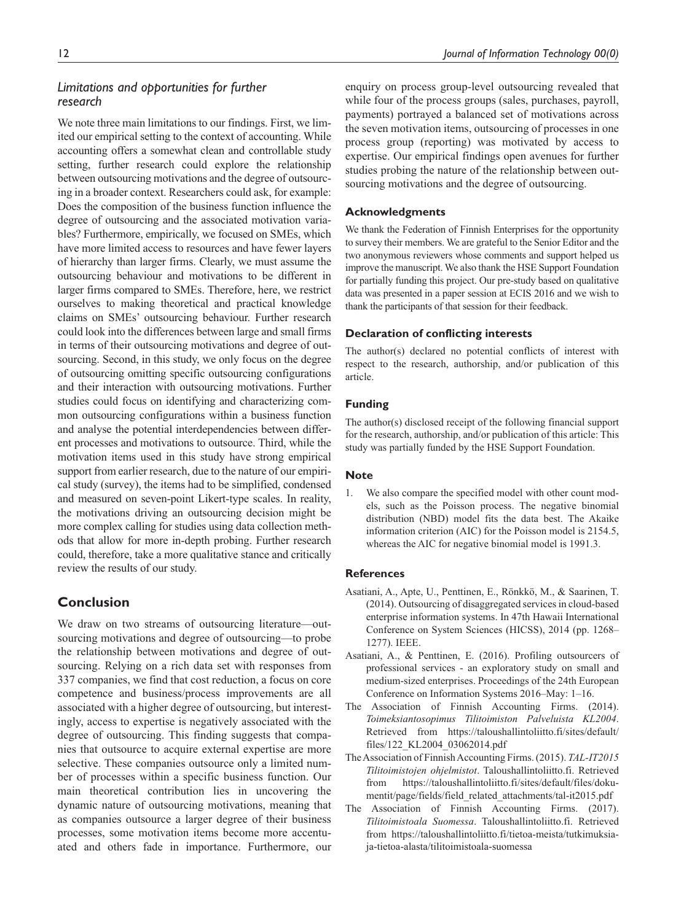## *Limitations and opportunities for further research*

We note three main limitations to our findings. First, we limited our empirical setting to the context of accounting. While accounting offers a somewhat clean and controllable study setting, further research could explore the relationship between outsourcing motivations and the degree of outsourcing in a broader context. Researchers could ask, for example: Does the composition of the business function influence the degree of outsourcing and the associated motivation variables? Furthermore, empirically, we focused on SMEs, which have more limited access to resources and have fewer layers of hierarchy than larger firms. Clearly, we must assume the outsourcing behaviour and motivations to be different in larger firms compared to SMEs. Therefore, here, we restrict ourselves to making theoretical and practical knowledge claims on SMEs' outsourcing behaviour. Further research could look into the differences between large and small firms in terms of their outsourcing motivations and degree of outsourcing. Second, in this study, we only focus on the degree of outsourcing omitting specific outsourcing configurations and their interaction with outsourcing motivations. Further studies could focus on identifying and characterizing common outsourcing configurations within a business function and analyse the potential interdependencies between different processes and motivations to outsource. Third, while the motivation items used in this study have strong empirical support from earlier research, due to the nature of our empirical study (survey), the items had to be simplified, condensed and measured on seven-point Likert-type scales. In reality, the motivations driving an outsourcing decision might be more complex calling for studies using data collection methods that allow for more in-depth probing. Further research could, therefore, take a more qualitative stance and critically review the results of our study.

# **Conclusion**

We draw on two streams of outsourcing literature—outsourcing motivations and degree of outsourcing—to probe the relationship between motivations and degree of outsourcing. Relying on a rich data set with responses from 337 companies, we find that cost reduction, a focus on core competence and business/process improvements are all associated with a higher degree of outsourcing, but interestingly, access to expertise is negatively associated with the degree of outsourcing. This finding suggests that companies that outsource to acquire external expertise are more selective. These companies outsource only a limited number of processes within a specific business function. Our main theoretical contribution lies in uncovering the dynamic nature of outsourcing motivations, meaning that as companies outsource a larger degree of their business processes, some motivation items become more accentuated and others fade in importance. Furthermore, our enquiry on process group-level outsourcing revealed that while four of the process groups (sales, purchases, payroll, payments) portrayed a balanced set of motivations across the seven motivation items, outsourcing of processes in one process group (reporting) was motivated by access to expertise. Our empirical findings open avenues for further studies probing the nature of the relationship between outsourcing motivations and the degree of outsourcing.

### **Acknowledgments**

We thank the Federation of Finnish Enterprises for the opportunity to survey their members. We are grateful to the Senior Editor and the two anonymous reviewers whose comments and support helped us improve the manuscript. We also thank the HSE Support Foundation for partially funding this project. Our pre-study based on qualitative data was presented in a paper session at ECIS 2016 and we wish to thank the participants of that session for their feedback.

#### **Declaration of conflicting interests**

The author(s) declared no potential conflicts of interest with respect to the research, authorship, and/or publication of this article.

### **Funding**

The author(s) disclosed receipt of the following financial support for the research, authorship, and/or publication of this article: This study was partially funded by the HSE Support Foundation.

#### **Note**

1. We also compare the specified model with other count models, such as the Poisson process. The negative binomial distribution (NBD) model fits the data best. The Akaike information criterion (AIC) for the Poisson model is 2154.5, whereas the AIC for negative binomial model is 1991.3.

### **References**

- Asatiani, A., Apte, U., Penttinen, E., Rönkkö, M., & Saarinen, T. (2014). Outsourcing of disaggregated services in cloud-based enterprise information systems. In 47th Hawaii International Conference on System Sciences (HICSS), 2014 (pp. 1268– 1277). IEEE.
- Asatiani, A., & Penttinen, E. (2016). Profiling outsourcers of professional services - an exploratory study on small and medium-sized enterprises. Proceedings of the 24th European Conference on Information Systems 2016–May: 1–16.
- The Association of Finnish Accounting Firms. (2014). *Toimeksiantosopimus Tilitoimiston Palveluista KL2004*. Retrieved from [https://taloushallintoliitto.fi/sites/default/](https://taloushallintoliitto.fi/sites/default/files/122_KL2004_03062014.pdf) [files/122\\_KL2004\\_03062014.pdf](https://taloushallintoliitto.fi/sites/default/files/122_KL2004_03062014.pdf)
- The Association of Finnish Accounting Firms. (2015). *TAL-IT2015 Tilitoimistojen ohjelmistot*. Taloushallintoliitto.fi. Retrieved from [https://taloushallintoliitto.fi/sites/default/files/doku](https://taloushallintoliitto.fi/sites/default/files/dokumentit/page/fields/field_related_attachments/tal-it2015.pdf)[mentit/page/fields/field\\_related\\_attachments/tal-it2015.pdf](https://taloushallintoliitto.fi/sites/default/files/dokumentit/page/fields/field_related_attachments/tal-it2015.pdf)
- The Association of Finnish Accounting Firms. (2017). *Tilitoimistoala Suomessa*. Taloushallintoliitto.fi. Retrieved from [https://taloushallintoliitto.fi/tietoa-meista/tutkimuksia](https://taloushallintoliitto.fi/tietoa-meista/tutkimuksia-ja-tietoa-alasta/tilitoimistoala-suomessa)[ja-tietoa-alasta/tilitoimistoala-suomessa](https://taloushallintoliitto.fi/tietoa-meista/tutkimuksia-ja-tietoa-alasta/tilitoimistoala-suomessa)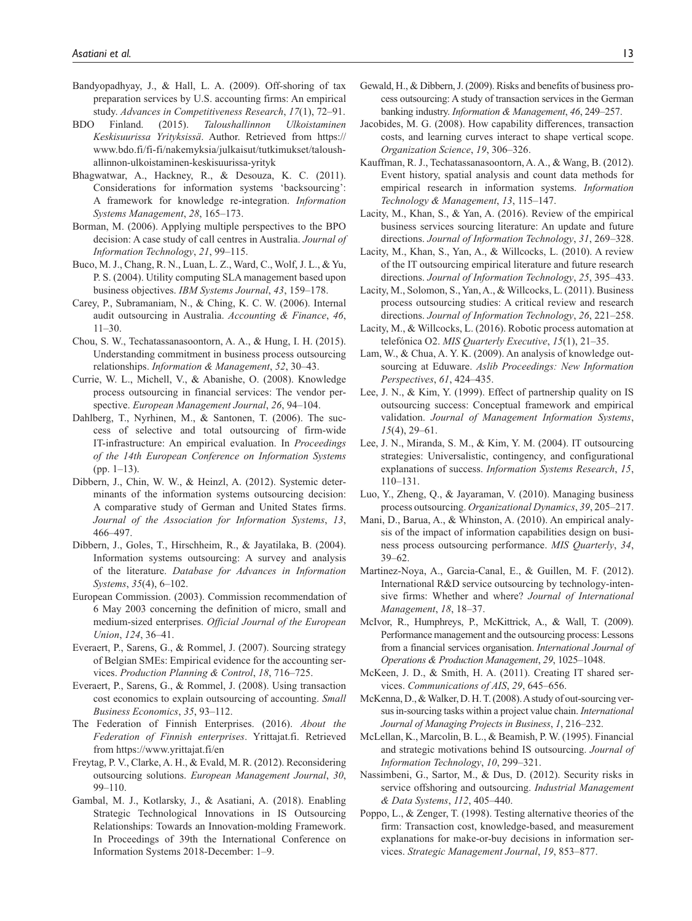- Bandyopadhyay, J., & Hall, L. A. (2009). Off-shoring of tax preparation services by U.S. accounting firms: An empirical study. *Advances in Competitiveness Research*, *17*(1), 72–91.
- BDO Finland. (2015). *Taloushallinnon Ulkoistaminen Keskisuurissa Yrityksissä*. Author. Retrieved from [https://](https://www.bdo.fi/fi-fi/nakemyksia/julkaisut/tutkimukset/taloushallinnon-ulkoistaminen-keskisuurissa-yrityk) [www.bdo.fi/fi-fi/nakemyksia/julkaisut/tutkimukset/taloush](https://www.bdo.fi/fi-fi/nakemyksia/julkaisut/tutkimukset/taloushallinnon-ulkoistaminen-keskisuurissa-yrityk)[allinnon-ulkoistaminen-keskisuurissa-yrityk](https://www.bdo.fi/fi-fi/nakemyksia/julkaisut/tutkimukset/taloushallinnon-ulkoistaminen-keskisuurissa-yrityk)
- Bhagwatwar, A., Hackney, R., & Desouza, K. C. (2011). Considerations for information systems 'backsourcing': A framework for knowledge re-integration. *Information Systems Management*, *28*, 165–173.
- Borman, M. (2006). Applying multiple perspectives to the BPO decision: A case study of call centres in Australia. *Journal of Information Technology*, *21*, 99–115.
- Buco, M. J., Chang, R. N., Luan, L. Z., Ward, C., Wolf, J. L., & Yu, P. S. (2004). Utility computing SLA management based upon business objectives. *IBM Systems Journal*, *43*, 159–178.
- Carey, P., Subramaniam, N., & Ching, K. C. W. (2006). Internal audit outsourcing in Australia. *Accounting & Finance*, *46*, 11–30.
- Chou, S. W., Techatassanasoontorn, A. A., & Hung, I. H. (2015). Understanding commitment in business process outsourcing relationships. *Information & Management*, *52*, 30–43.
- Currie, W. L., Michell, V., & Abanishe, O. (2008). Knowledge process outsourcing in financial services: The vendor perspective. *European Management Journal*, *26*, 94–104.
- Dahlberg, T., Nyrhinen, M., & Santonen, T. (2006). The success of selective and total outsourcing of firm-wide IT-infrastructure: An empirical evaluation. In *Proceedings of the 14th European Conference on Information Systems*  $(pp. 1-13).$
- Dibbern, J., Chin, W. W., & Heinzl, A. (2012). Systemic determinants of the information systems outsourcing decision: A comparative study of German and United States firms. *Journal of the Association for Information Systems*, *13*, 466–497.
- Dibbern, J., Goles, T., Hirschheim, R., & Jayatilaka, B. (2004). Information systems outsourcing: A survey and analysis of the literature. *Database for Advances in Information Systems*, *35*(4), 6–102.
- European Commission. (2003). Commission recommendation of 6 May 2003 concerning the definition of micro, small and medium-sized enterprises. *Official Journal of the European Union*, *124*, 36–41.
- Everaert, P., Sarens, G., & Rommel, J. (2007). Sourcing strategy of Belgian SMEs: Empirical evidence for the accounting services. *Production Planning & Control*, *18*, 716–725.
- Everaert, P., Sarens, G., & Rommel, J. (2008). Using transaction cost economics to explain outsourcing of accounting. *Small Business Economics*, *35*, 93–112.
- The Federation of Finnish Enterprises. (2016). *About the Federation of Finnish enterprises*. Yrittajat.fi. Retrieved from<https://www.yrittajat.fi/en>
- Freytag, P. V., Clarke, A. H., & Evald, M. R. (2012). Reconsidering outsourcing solutions. *European Management Journal*, *30*, 99–110.
- Gambal, M. J., Kotlarsky, J., & Asatiani, A. (2018). Enabling Strategic Technological Innovations in IS Outsourcing Relationships: Towards an Innovation-molding Framework. In Proceedings of 39th the International Conference on Information Systems 2018-December: 1–9.
- Gewald, H., & Dibbern, J. (2009). Risks and benefits of business process outsourcing: A study of transaction services in the German banking industry. *Information & Management*, *46*, 249–257.
- Jacobides, M. G. (2008). How capability differences, transaction costs, and learning curves interact to shape vertical scope. *Organization Science*, *19*, 306–326.
- Kauffman, R. J., Techatassanasoontorn, A. A., & Wang, B. (2012). Event history, spatial analysis and count data methods for empirical research in information systems. *Information Technology & Management*, *13*, 115–147.
- Lacity, M., Khan, S., & Yan, A. (2016). Review of the empirical business services sourcing literature: An update and future directions. *Journal of Information Technology*, *31*, 269–328.
- Lacity, M., Khan, S., Yan, A., & Willcocks, L. (2010). A review of the IT outsourcing empirical literature and future research directions. *Journal of Information Technology*, *25*, 395–433.
- Lacity, M., Solomon, S., Yan, A., & Willcocks, L. (2011). Business process outsourcing studies: A critical review and research directions. *Journal of Information Technology*, *26*, 221–258.
- Lacity, M., & Willcocks, L. (2016). Robotic process automation at telefónica O2. *MIS Quarterly Executive*, *15*(1), 21–35.
- Lam, W., & Chua, A. Y. K. (2009). An analysis of knowledge outsourcing at Eduware. *Aslib Proceedings: New Information Perspectives*, *61*, 424–435.
- Lee, J. N., & Kim, Y. (1999). Effect of partnership quality on IS outsourcing success: Conceptual framework and empirical validation. *Journal of Management Information Systems*, *15*(4), 29–61.
- Lee, J. N., Miranda, S. M., & Kim, Y. M. (2004). IT outsourcing strategies: Universalistic, contingency, and configurational explanations of success. *Information Systems Research*, *15*, 110–131.
- Luo, Y., Zheng, Q., & Jayaraman, V. (2010). Managing business process outsourcing. *Organizational Dynamics*, *39*, 205–217.
- Mani, D., Barua, A., & Whinston, A. (2010). An empirical analysis of the impact of information capabilities design on business process outsourcing performance. *MIS Quarterly*, *34*, 39–62.
- Martinez-Noya, A., Garcia-Canal, E., & Guillen, M. F. (2012). International R&D service outsourcing by technology-intensive firms: Whether and where? *Journal of International Management*, *18*, 18–37.
- McIvor, R., Humphreys, P., McKittrick, A., & Wall, T. (2009). Performance management and the outsourcing process: Lessons from a financial services organisation. *International Journal of Operations & Production Management*, *29*, 1025–1048.
- McKeen, J. D., & Smith, H. A. (2011). Creating IT shared services. *Communications of AIS*, *29*, 645–656.
- McKenna, D., & Walker, D. H. T. (2008). A study of out-sourcing versus in-sourcing tasks within a project value chain. *International Journal of Managing Projects in Business*, *1*, 216–232.
- McLellan, K., Marcolin, B. L., & Beamish, P. W. (1995). Financial and strategic motivations behind IS outsourcing. *Journal of Information Technology*, *10*, 299–321.
- Nassimbeni, G., Sartor, M., & Dus, D. (2012). Security risks in service offshoring and outsourcing. *Industrial Management & Data Systems*, *112*, 405–440.
- Poppo, L., & Zenger, T. (1998). Testing alternative theories of the firm: Transaction cost, knowledge-based, and measurement explanations for make-or-buy decisions in information services. *Strategic Management Journal*, *19*, 853–877.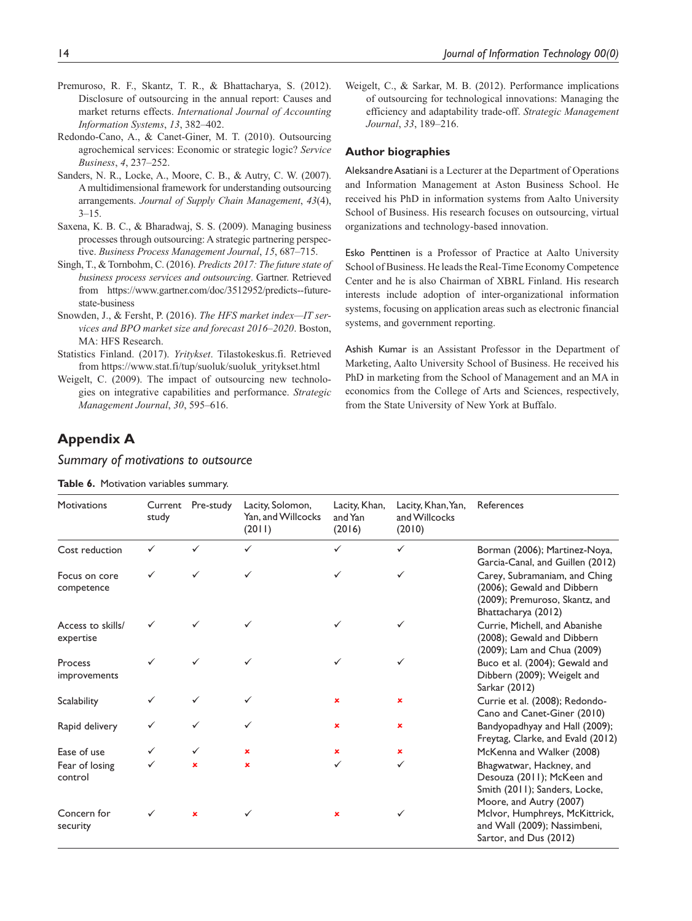- Premuroso, R. F., Skantz, T. R., & Bhattacharya, S. (2012). Disclosure of outsourcing in the annual report: Causes and market returns effects. *International Journal of Accounting Information Systems*, *13*, 382–402.
- Redondo-Cano, A., & Canet-Giner, M. T. (2010). Outsourcing agrochemical services: Economic or strategic logic? *Service Business*, *4*, 237–252.
- Sanders, N. R., Locke, A., Moore, C. B., & Autry, C. W. (2007). A multidimensional framework for understanding outsourcing arrangements. *Journal of Supply Chain Management*, *43*(4), 3–15.
- Saxena, K. B. C., & Bharadwaj, S. S. (2009). Managing business processes through outsourcing: A strategic partnering perspective. *Business Process Management Journal*, *15*, 687–715.
- Singh, T., & Tornbohm, C. (2016). *Predicts 2017: The future state of business process services and outsourcing*. Gartner. Retrieved from [https://www.gartner.com/doc/3512952/predicts--future](https://www.gartner.com/doc/3512952/predicts--future-state-business)[state-business](https://www.gartner.com/doc/3512952/predicts--future-state-business)
- Snowden, J., & Fersht, P. (2016). *The HFS market index—IT services and BPO market size and forecast 2016–2020*. Boston, MA: HFS Research.
- Statistics Finland. (2017). *Yritykset*. Tilastokeskus.fi. Retrieved from [https://www.stat.fi/tup/suoluk/suoluk\\_yritykset.html](https://www.stat.fi/tup/suoluk/suoluk_yritykset.html )
- Weigelt, C. (2009). The impact of outsourcing new technologies on integrative capabilities and performance. *Strategic Management Journal*, *30*, 595–616.

Weigelt, C., & Sarkar, M. B. (2012). Performance implications of outsourcing for technological innovations: Managing the efficiency and adaptability trade-off. *Strategic Management Journal*, *33*, 189–216.

#### **Author biographies**

Aleksandre Asatiani is a Lecturer at the Department of Operations and Information Management at Aston Business School. He received his PhD in information systems from Aalto University School of Business. His research focuses on outsourcing, virtual organizations and technology-based innovation.

Esko Penttinen is a Professor of Practice at Aalto University School of Business. He leads the Real-Time Economy Competence Center and he is also Chairman of XBRL Finland. His research interests include adoption of inter-organizational information systems, focusing on application areas such as electronic financial systems, and government reporting.

Ashish Kumar is an Assistant Professor in the Department of Marketing, Aalto University School of Business. He received his PhD in marketing from the School of Management and an MA in economics from the College of Arts and Sciences, respectively, from the State University of New York at Buffalo.

# **Appendix A**

### *Summary of motivations to outsource*

**Table 6.** Motivation variables summary.

| <b>Motivations</b>             | Current<br>study | Pre-study | Lacity, Solomon,<br>Yan, and Willcocks<br>(2011) | Lacity, Khan,<br>and Yan<br>(2016) | Lacity, Khan, Yan,<br>and Willcocks<br>(2010) | References                                                                                                           |
|--------------------------------|------------------|-----------|--------------------------------------------------|------------------------------------|-----------------------------------------------|----------------------------------------------------------------------------------------------------------------------|
| Cost reduction                 |                  | ✓         |                                                  | ✓                                  | ✓                                             | Borman (2006); Martinez-Noya,<br>Garcia-Canal, and Guillen (2012)                                                    |
| Focus on core<br>competence    |                  |           | ✓                                                | ✓                                  | ✓                                             | Carey, Subramaniam, and Ching<br>(2006); Gewald and Dibbern<br>(2009); Premuroso, Skantz, and<br>Bhattacharya (2012) |
| Access to skills/<br>expertise |                  |           |                                                  |                                    |                                               | Currie, Michell, and Abanishe<br>(2008); Gewald and Dibbern<br>(2009); Lam and Chua (2009)                           |
| Process<br>improvements        |                  |           |                                                  |                                    |                                               | Buco et al. (2004); Gewald and<br>Dibbern (2009); Weigelt and<br>Sarkar (2012)                                       |
| Scalability                    | ✓                |           |                                                  | ×                                  | ×                                             | Currie et al. (2008); Redondo-<br>Cano and Canet-Giner (2010)                                                        |
| Rapid delivery                 |                  |           | ✓                                                | ×                                  | ×                                             | Bandyopadhyay and Hall (2009);<br>Freytag, Clarke, and Evald (2012)                                                  |
| Ease of use                    | ✓                | ✓         | ×                                                | $\mathbf x$                        | ×                                             | McKenna and Walker (2008)                                                                                            |
| Fear of losing<br>control      |                  | ×         | $\mathbf x$                                      |                                    | ✓                                             | Bhagwatwar, Hackney, and<br>Desouza (2011); McKeen and<br>Smith (2011); Sanders, Locke,<br>Moore, and Autry (2007)   |
| Concern for<br>security        |                  | ×         |                                                  | ×                                  |                                               | McIvor, Humphreys, McKittrick,<br>and Wall (2009); Nassimbeni,<br>Sartor, and Dus (2012)                             |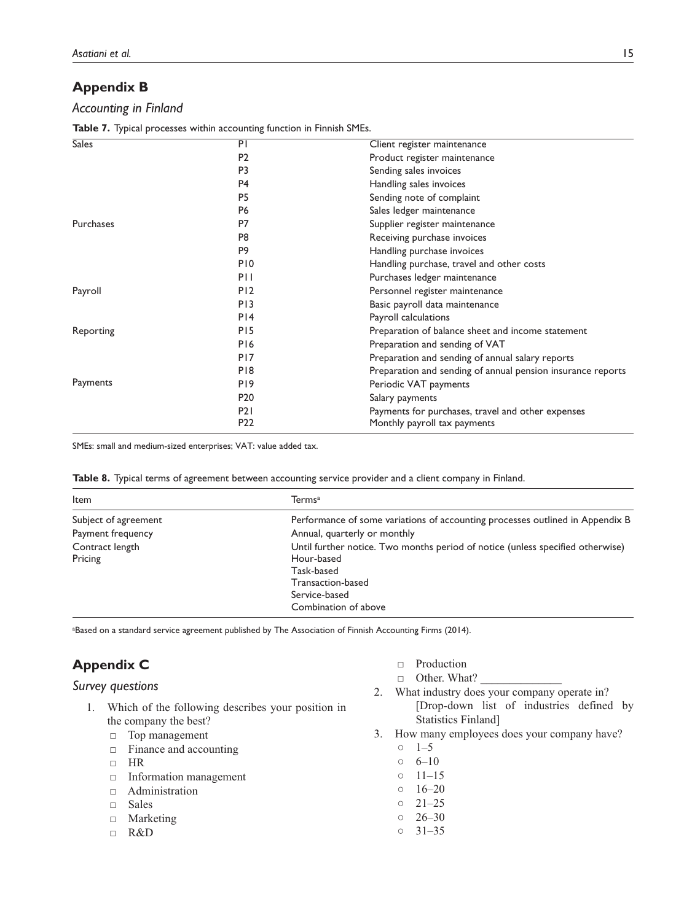# **Appendix B**

## *Accounting in Finland*

**Table 7.** Typical processes within accounting function in Finnish SMEs.

| <b>Sales</b> | PI              | Client register maintenance                                 |
|--------------|-----------------|-------------------------------------------------------------|
|              | P <sub>2</sub>  | Product register maintenance                                |
|              | P <sub>3</sub>  | Sending sales invoices                                      |
|              |                 |                                                             |
|              | P <sub>4</sub>  | Handling sales invoices                                     |
|              | P <sub>5</sub>  | Sending note of complaint                                   |
|              | P <sub>6</sub>  | Sales ledger maintenance                                    |
| Purchases    | P7              | Supplier register maintenance                               |
|              | P <sub>8</sub>  | Receiving purchase invoices                                 |
|              | P <sub>9</sub>  | Handling purchase invoices                                  |
|              | P <sub>10</sub> | Handling purchase, travel and other costs                   |
|              | P11             | Purchases ledger maintenance                                |
| Payroll      | P <sub>12</sub> | Personnel register maintenance                              |
|              | P <sub>13</sub> | Basic payroll data maintenance                              |
|              | PI4             | Payroll calculations                                        |
| Reporting    | P <sub>15</sub> | Preparation of balance sheet and income statement           |
|              | P <sub>16</sub> | Preparation and sending of VAT                              |
|              | P <sub>17</sub> | Preparation and sending of annual salary reports            |
|              | P <sub>18</sub> | Preparation and sending of annual pension insurance reports |
| Payments     | P <sub>19</sub> | Periodic VAT payments                                       |
|              | P <sub>20</sub> | Salary payments                                             |
|              | <b>P21</b>      | Payments for purchases, travel and other expenses           |
|              | P <sub>22</sub> | Monthly payroll tax payments                                |
|              |                 |                                                             |

SMEs: small and medium-sized enterprises; VAT: value added tax.

| Table 8. Typical terms of agreement between accounting service provider and a client company in Finland. |  |  |  |  |
|----------------------------------------------------------------------------------------------------------|--|--|--|--|
|                                                                                                          |  |  |  |  |

| Item                       | Termsª                                                                                                                                                                   |
|----------------------------|--------------------------------------------------------------------------------------------------------------------------------------------------------------------------|
| Subject of agreement       | Performance of some variations of accounting processes outlined in Appendix B                                                                                            |
| Payment frequency          | Annual, quarterly or monthly                                                                                                                                             |
| Contract length<br>Pricing | Until further notice. Two months period of notice (unless specified otherwise)<br>Hour-based<br>Task-based<br>Transaction-based<br>Service-based<br>Combination of above |

a Based on a standard service agreement published by The Association of Finnish Accounting Firms (2014).

# **Appendix C**

# *Survey questions*

- 1. Which of the following describes your position in the company the best?
	- □ Top management
	- □ Finance and accounting
	- □ HR
	- □ Information management
	- □ Administration
	- □ Sales
	- □ Marketing
	- □ R&D
- □ Production
- □ Other. What?
- 2. What industry does your company operate in? [Drop-down list of industries defined by Statistics Finland]
- 3. How many employees does your company have?
	- $0 \t 1-5$
	- $0 \quad 6-10$
	- 11–15
	- $0 \t16-20$
	- $0 \quad 21 25$
	- $0 \quad 26 30$
	- 31–35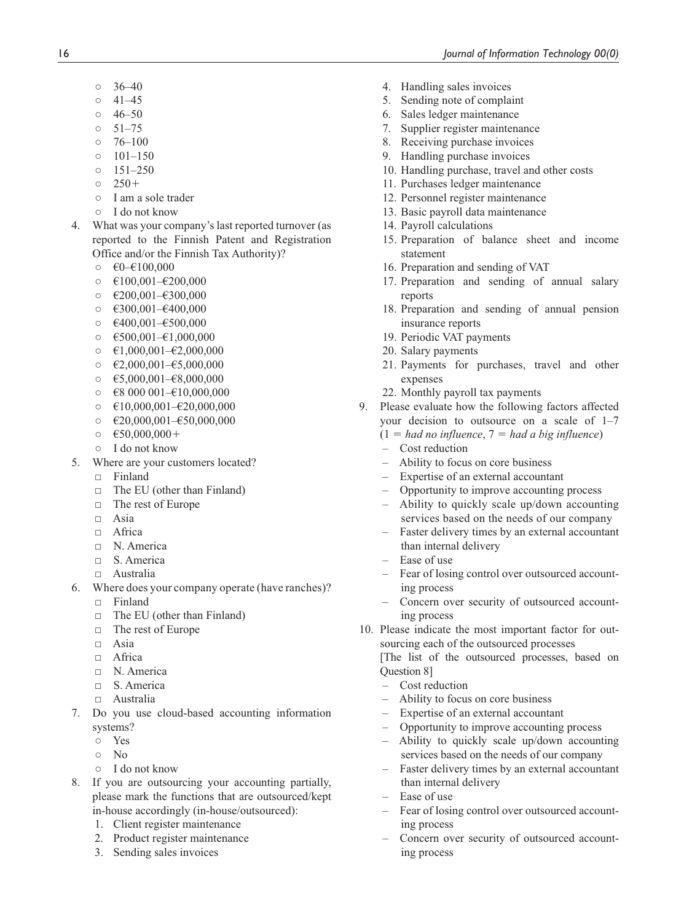- $0 \quad 36-40$
- $0 \quad 41-45$
- $0 \quad 46-50$
- $0 \quad 51 75$
- $0 \quad 76 100$
- $0$  101–150  $0 \quad 151 - 250$
- 
- $0 \quad 250+$
- I am a sole trader
- I do not know
- 4. What was your company's last reported turnover (as reported to the Finnish Patent and Registration Office and/or the Finnish Tax Authority)?
	- $\circ$   $\epsilon$ 0– $\epsilon$ 100,000
	- $\circ$   $\in$ 100,001– $\in$ 200,000
	- $\circ$  €200,001–€300,000
	- $\circ$   $\epsilon$ 300,001– $\epsilon$ 400,000
	- €400,001–€500,000
	- $\circ$   $\epsilon$ 500,001– $\epsilon$ 1,000,000
	- $\circ$   $\in$  1,000,001– $\in$ 2,000,000
	- $\circ$   $\in 2,000,001 65,000,000$
	- $\circ$   $\epsilon$ 5,000,001– $\epsilon$ 8,000,000
	- $\circ$   $\in$  8 000 001– $\in$ 10,000,000
	- $\circ$   $\in$  10,000,001– $\in$  20,000,000
	- $\circ$   $\in$  20,000,001– $\in$  50,000,000
	- $\circ$   $\epsilon$ 50,000,000+
	- I do not know
- 5. Where are your customers located?
	- $\neg$  Finland
	- □ The EU (other than Finland)
	- □ The rest of Europe
	- $\neg$  Asia
	- □ Africa
	- □ N. America
	- □ S. America
	- □ Australia
- 6. Where does your company operate (have ranches)?
	- □ Finland
	- □ The EU (other than Finland)
	- □ The rest of Europe
	- □ Asia
	- □ Africa
	- □ N. America
	- □ S. America
	- □ Australia
- 7. Do you use cloud-based accounting information systems?
	- Yes
	- No
	- I do not know
- 8. If you are outsourcing your accounting partially, please mark the functions that are outsourced/kept in-house accordingly (in-house/outsourced):
	- 1. Client register maintenance
	- 2. Product register maintenance
	- 3. Sending sales invoices
- 4. Handling sales invoices
- 5. Sending note of complaint
- 6. Sales ledger maintenance
- 7. Supplier register maintenance
- 8. Receiving purchase invoices
- 9. Handling purchase invoices
- 10. Handling purchase, travel and other costs
- 11. Purchases ledger maintenance
- 12. Personnel register maintenance
- 13. Basic payroll data maintenance
- 14. Payroll calculations
- 15. Preparation of balance sheet and income statement
- 16. Preparation and sending of VAT
- 17. Preparation and sending of annual salary reports
- 18. Preparation and sending of annual pension insurance reports
- 19. Periodic VAT payments
- 20. Salary payments
- 21. Payments for purchases, travel and other expenses
- 22. Monthly payroll tax payments
- 9. Please evaluate how the following factors affected your decision to outsource on a scale of 1–7
	- $(1 = had no influence, 7 = had a big influence)$
	- Cost reduction
	- Ability to focus on core business
	- Expertise of an external accountant
	- Opportunity to improve accounting process
	- Ability to quickly scale up/down accounting services based on the needs of our company
	- Faster delivery times by an external accountant than internal delivery
	- Ease of use
	- Fear of losing control over outsourced accounting process
	- Concern over security of outsourced accounting process
- 10. Please indicate the most important factor for outsourcing each of the outsourced processes

[The list of the outsourced processes, based on Question 8]

- Cost reduction
- Ability to focus on core business
- Expertise of an external accountant
- Opportunity to improve accounting process
- Ability to quickly scale up/down accounting services based on the needs of our company
- Faster delivery times by an external accountant than internal delivery
- Ease of use
- Fear of losing control over outsourced accounting process
- Concern over security of outsourced accounting process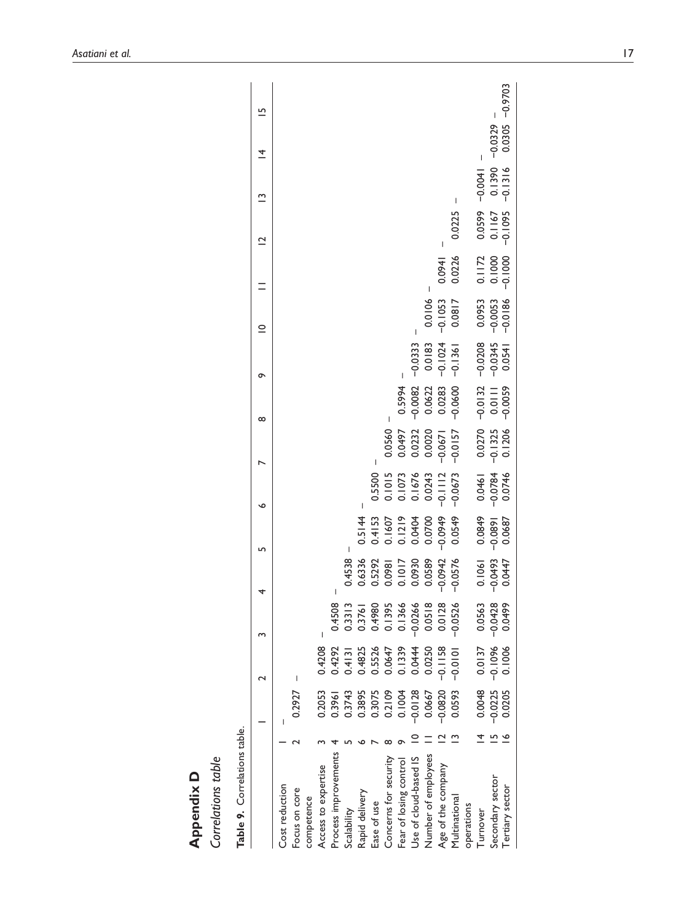| Correlations table<br>Appendix D |           |           |           |           |                     |                     |                       |                    |                     |             |           |                         |           |                                  |  |
|----------------------------------|-----------|-----------|-----------|-----------|---------------------|---------------------|-----------------------|--------------------|---------------------|-------------|-----------|-------------------------|-----------|----------------------------------|--|
| Table 9. Correlations table.     |           |           |           |           |                     |                     |                       |                    |                     |             |           |                         |           |                                  |  |
|                                  |           |           |           | 4         | 5                   | ∘                   |                       | $\infty$           | ᡡ                   | $\subseteq$ |           | $\overline{\mathbf{C}}$ | ≅         | $\overline{5}$<br>$\overline{4}$ |  |
| Cost reduction                   |           |           |           |           |                     |                     |                       |                    |                     |             |           |                         |           |                                  |  |
| Focus on core                    | 0.2927    |           |           |           |                     |                     |                       |                    |                     |             |           |                         |           |                                  |  |
| competence                       |           |           |           |           |                     |                     |                       |                    |                     |             |           |                         |           |                                  |  |
| Access to expertise              | 0.2053    | 0.4208    |           |           |                     |                     |                       |                    |                     |             |           |                         |           |                                  |  |
| Process improvements             | 0.3961    | 0.4292    | 0.4508    |           |                     |                     |                       |                    |                     |             |           |                         |           |                                  |  |
| Scalability                      | 0.3743    | 0.4131    | 0.3313    | 0.4538    |                     |                     |                       |                    |                     |             |           |                         |           |                                  |  |
| Rapid delivery                   | 0.3895    | 0.4825    | 0.3761    | 0.6336    | 0.5144              |                     |                       |                    |                     |             |           |                         |           |                                  |  |
| Ease of use                      | 0.3075    | 0.5526    | 0.4980    | 0.5292    | 0.4153              | 0.5500              |                       |                    |                     |             |           |                         |           |                                  |  |
| Concerns for security            | 0.2109    | 0.0647    | 0.1395    | 0.0981    | 0.1607              | 0.1015              | 0.0560                |                    |                     |             |           |                         |           |                                  |  |
| Fear of losing control           | 0.1004    | 0.1339    | 0.1366    | 0.1017    | 0.1219              | 0.1073              | 0.0497                | 0.5994             |                     |             |           |                         |           |                                  |  |
| Use of cloud-based IS            | $-0.0128$ | 0.0444    | $-0.0266$ | 0.0930    | 0.0404              | 0.1676              | 0.0232                | $-0.0082$          | $-0.0333$           |             |           |                         |           |                                  |  |
| Number of employees              | 0.0667    | 0.0250    | 0.0518    | 0.0589    | 0.0700              | 0.0243              | 0.0020                | 0.0622             | 0.0183              | 0.0106      |           |                         |           |                                  |  |
| Age of the company               | $-0.0820$ | $-0.1158$ | 0.0128    | $-0.0942$ | $-0.0949$           | $-0.1112$           | $-0.0671$             | 0.0283             | $-0.1024$           | $-0.1053$   | 1760'0    |                         |           |                                  |  |
| Multinational                    | 0.0593    | $-0.0101$ | $-0.0526$ | $-0.0576$ | 0.0549              | $-0.0673$           | $-0.0157$             | $-0.0600$          | $-0.1361$           | 0.0817      | 0.0226    | 0.0225                  | I         |                                  |  |
| operations                       |           |           |           |           |                     |                     |                       |                    |                     |             |           |                         |           |                                  |  |
| Turnover                         | 0.0048    | 0.0137    | 0.0563    | 0.1061    | 0.0849              | 0.0461              | 0.0270                | $-0.0132 - 0.0208$ |                     | 0.0953      | 0.1172    | 0.0599 - 0.0041         |           |                                  |  |
| Secondary sector                 | $-0.0225$ | $-0.1096$ | $-0.0428$ | $-0.0493$ | $-0.0891$<br>0.0687 | $-0.0784$<br>0.0746 | $-0.1325$<br>$0.1206$ | 0.0111             | $-0.0345$<br>0.0541 | $-0.0053$   | 0.1000    | 0.1167                  | 0.1390    | $-0.0329$                        |  |
| Tertiary sector                  | 0.0205    | 0.1006    | 0.0499    | 0.0447    |                     |                     |                       | $-0.0059$          |                     | $-0.0186$   | $-0.1000$ | $-0.1095$               | $-0.1316$ | $0.0305 - 0.9703$                |  |
|                                  |           |           |           |           |                     |                     |                       |                    |                     |             |           |                         |           |                                  |  |

*Asatiani et al.* 17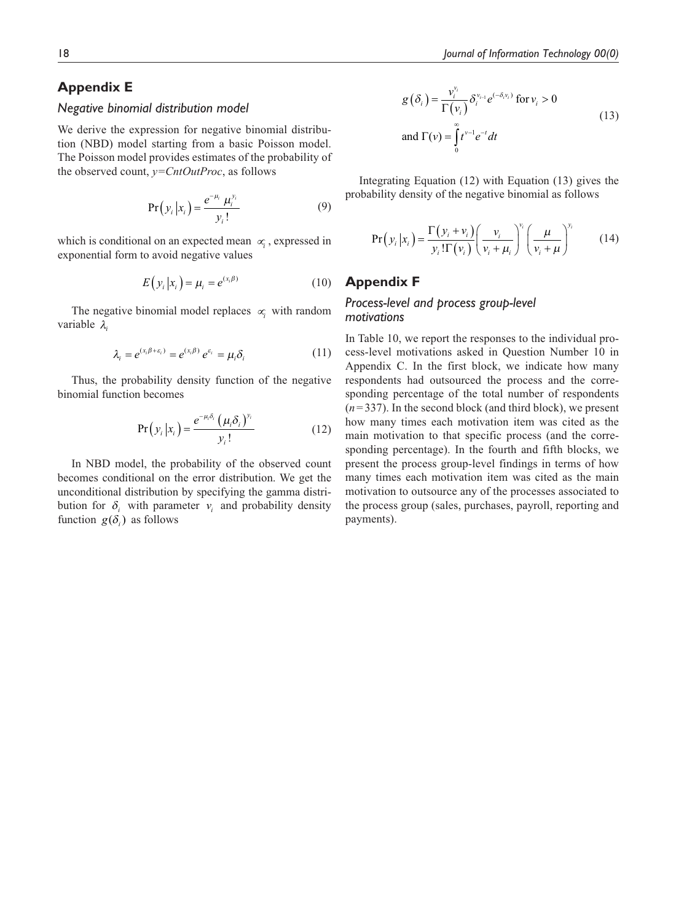# **Appendix E**

### *Negative binomial distribution model*

We derive the expression for negative binomial distribution (NBD) model starting from a basic Poisson model. The Poisson model provides estimates of the probability of the observed count, *y=CntOutProc*, as follows

$$
Pr(y_i | x_i) = \frac{e^{-\mu_i} \mu_i^{y_i}}{y_i!}
$$
 (9)

which is conditional on an expected mean <sup>∝</sup>*<sup>i</sup>* , expressed in exponential form to avoid negative values

$$
E(y_i|x_i) = \mu_i = e^{(x_i/\beta)} \tag{10}
$$

The negative binomial model replaces <sup>∝</sup>*i* with random variable λ*<sup>i</sup>*

$$
\lambda_i = e^{(x_i \beta + \varepsilon_i)} = e^{(x_i \beta)} e^{\varepsilon_i} = \mu_i \delta_i \tag{11}
$$

Thus, the probability density function of the negative binomial function becomes

$$
Pr(y_i|x_i) = \frac{e^{-\mu_i \delta_i} (\mu_i \delta_i)^{y_i}}{y_i!}
$$
 (12)

In NBD model, the probability of the observed count becomes conditional on the error distribution. We get the unconditional distribution by specifying the gamma distribution for  $\delta_i$  with parameter  $v_i$  and probability density function  $g(\delta_i)$  as follows

$$
g(\delta_i) = \frac{v_i^{v_i}}{\Gamma(v_i)} \delta_i^{v_{i-1}} e^{(-\delta_i v_i)} \text{ for } v_i > 0
$$
  
and 
$$
\Gamma(v) = \int_0^{\infty} t^{v-1} e^{-t} dt
$$
 (13)

Integrating Equation (12) with Equation (13) gives the probability density of the negative binomial as follows

$$
Pr(y_i|x_i) = \frac{\Gamma(y_i + v_i)}{y_i! \Gamma(v_i)} \left(\frac{v_i}{v_i + \mu_i}\right)^{v_i} \left(\frac{\mu}{v_i + \mu}\right)^{y_i}
$$
(14)

# **Appendix F**

# *Process-level and process group-level motivations*

In Table 10, we report the responses to the individual process-level motivations asked in Question Number 10 in Appendix C. In the first block, we indicate how many respondents had outsourced the process and the corresponding percentage of the total number of respondents  $(n=337)$ . In the second block (and third block), we present how many times each motivation item was cited as the main motivation to that specific process (and the corresponding percentage). In the fourth and fifth blocks, we present the process group-level findings in terms of how many times each motivation item was cited as the main motivation to outsource any of the processes associated to the process group (sales, purchases, payroll, reporting and payments).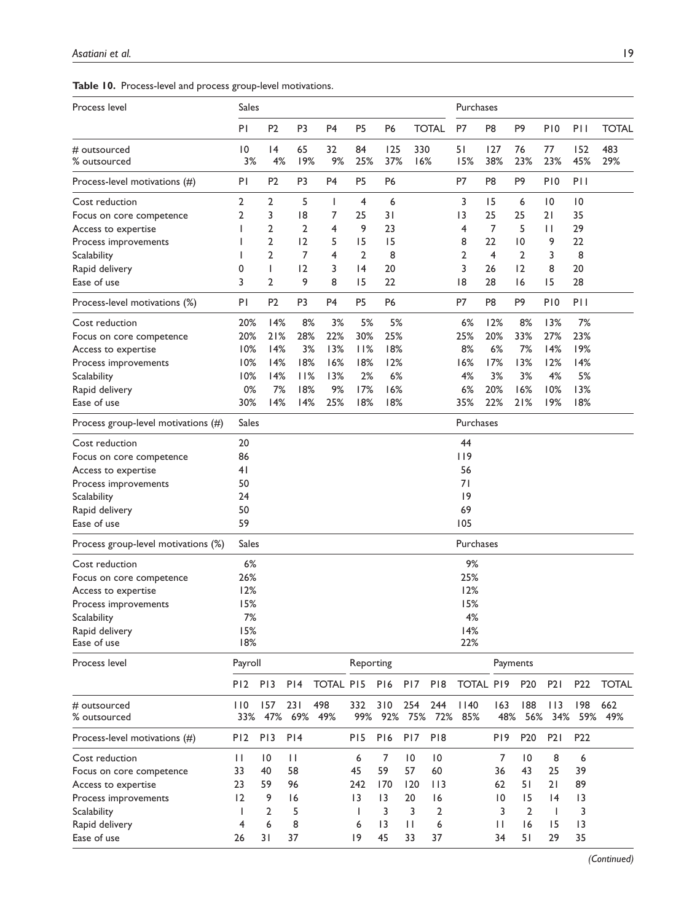|  |  |  | Table 10. Process-level and process group-level motivations. |  |
|--|--|--|--------------------------------------------------------------|--|
|--|--|--|--------------------------------------------------------------|--|

| Process level                       | <b>Sales</b>          |                 |                |                  |                 |                 |                 |                 | Purchases        |                 |                 |                 |                 |              |  |  |
|-------------------------------------|-----------------------|-----------------|----------------|------------------|-----------------|-----------------|-----------------|-----------------|------------------|-----------------|-----------------|-----------------|-----------------|--------------|--|--|
|                                     | PI                    | P <sub>2</sub>  | P <sub>3</sub> | P <sub>4</sub>   | P <sub>5</sub>  | P <sub>6</sub>  |                 | <b>TOTAL</b>    | <b>P7</b>        | P <sub>8</sub>  | P9              | P <sub>10</sub> | PII             | <b>TOTAL</b> |  |  |
| # outsourced<br>% outsourced        | $\overline{10}$<br>3% | 4<br>4%         | 65<br>19%      | 32<br>9%         | 84<br>25%       | 125<br>37%      | 330<br>16%      |                 | 51<br>15%        | 127<br>38%      | 76<br>23%       | 77<br>23%       | 152<br>45%      | 483<br>29%   |  |  |
| Process-level motivations (#)       | ΡI                    | P <sub>2</sub>  | P <sub>3</sub> | P4               | P <sub>5</sub>  | P6              |                 |                 | P7               | P <sub>8</sub>  | P <sub>9</sub>  | P <sub>10</sub> | PII             |              |  |  |
| Cost reduction                      | 2                     | 2               | 5              | T                | 4               | 6               |                 |                 | 3                | 15              | 6               | $\overline{10}$ | 0               |              |  |  |
| Focus on core competence            | 2                     | 3               | 8              | 7                | 25              | 31              |                 |                 | 3                | 25              | 25              | 21              | 35              |              |  |  |
| Access to expertise                 |                       | 2               | 2              | 4                | 9               | 23              |                 |                 | 4                | 7               | 5               | $\mathsf{I}$    | 29              |              |  |  |
| Process improvements                |                       | $\overline{2}$  | 12             | 5                | 15              | 15              |                 |                 | 8                | 22              | $\overline{10}$ | 9               | 22              |              |  |  |
| Scalability                         |                       | $\overline{2}$  | 7              | 4                | 2               | 8               |                 |                 | 2                | $\overline{4}$  | $\overline{2}$  | 3               | 8               |              |  |  |
| Rapid delivery                      | 0                     | т               | 12             | 3                | 4               | 20              |                 |                 | 3                | 26              | 12              | 8               | 20              |              |  |  |
| Ease of use                         | 3                     | $\overline{2}$  | 9              | 8                | 15              | 22              |                 |                 | 18               | 28              | 16              | 15              | 28              |              |  |  |
| Process-level motivations (%)       | PI                    | P <sub>2</sub>  | P <sub>3</sub> | P <sub>4</sub>   | P <sub>5</sub>  | P <sub>6</sub>  |                 |                 | P7               | P8              | P <sub>9</sub>  | P <sub>10</sub> | P11             |              |  |  |
| Cost reduction                      | 20%                   | 14%             | 8%             | 3%               | 5%              | 5%              |                 |                 | 6%               | 12%             | 8%              | 13%             | 7%              |              |  |  |
| Focus on core competence            | 20%                   | 21%             | 28%            | 22%              | 30%             | 25%             |                 |                 | 25%              | 20%             | 33%             | 27%             | 23%             |              |  |  |
| Access to expertise                 | 10%                   | 14%             | 3%             | 13%              | 11%             | 18%             |                 |                 | 8%               | 6%              | 7%              | 14%             | 19%             |              |  |  |
| Process improvements                | 10%                   | 14%             | 18%            | 16%              | 18%             | 12%             |                 |                 | 16%              | 17%             | 13%             | 12%             | 14%             |              |  |  |
| Scalability                         | 10%                   | 14%             | 11%            | 13%              | 2%              | 6%              |                 |                 | 4%               | 3%              | 3%              | 4%              | 5%              |              |  |  |
| Rapid delivery                      | 0%                    | 7%              | 18%            | 9%               | 17%             | 16%             |                 |                 | 6%               | 20%             | 16%             | 10%             | 13%             |              |  |  |
| Ease of use                         | 30%                   | 14%             | 14%            | 25%              | 18%             | 18%             |                 |                 | 35%              | 22%             | 21%             | 19%             | 18%             |              |  |  |
| Process group-level motivations (#) | Sales                 |                 |                |                  |                 |                 |                 |                 | Purchases        |                 |                 |                 |                 |              |  |  |
| Cost reduction                      | 20                    |                 |                |                  |                 |                 |                 |                 | 44               |                 |                 |                 |                 |              |  |  |
| Focus on core competence            | 86                    |                 |                |                  |                 |                 |                 |                 | 119              |                 |                 |                 |                 |              |  |  |
| Access to expertise                 | 41                    |                 |                |                  |                 |                 |                 |                 | 56               |                 |                 |                 |                 |              |  |  |
| Process improvements                | 50                    |                 |                |                  |                 |                 |                 |                 | 71               |                 |                 |                 |                 |              |  |  |
| Scalability                         | 24                    |                 |                |                  |                 |                 |                 |                 | 9                |                 |                 |                 |                 |              |  |  |
| Rapid delivery                      | 50                    |                 |                |                  |                 |                 |                 |                 | 69               |                 |                 |                 |                 |              |  |  |
| Ease of use                         | 59                    |                 |                |                  |                 |                 |                 |                 | 105              |                 |                 |                 |                 |              |  |  |
| Process group-level motivations (%) | Sales                 |                 |                |                  |                 |                 |                 |                 | Purchases        |                 |                 |                 |                 |              |  |  |
| Cost reduction                      | 6%                    |                 |                |                  |                 |                 |                 |                 | 9%               |                 |                 |                 |                 |              |  |  |
| Focus on core competence            | 26%                   |                 |                |                  |                 |                 |                 |                 | 25%              |                 |                 |                 |                 |              |  |  |
| Access to expertise                 | 12%                   |                 |                |                  |                 |                 |                 |                 | 12%              |                 |                 |                 |                 |              |  |  |
| Process improvements                | 15%                   |                 |                |                  |                 |                 |                 |                 | 15%              |                 |                 |                 |                 |              |  |  |
| Scalability                         | 7%                    |                 |                |                  |                 |                 |                 |                 | 4%               |                 |                 |                 |                 |              |  |  |
| Rapid delivery                      | 15%                   |                 |                |                  |                 |                 |                 |                 | 14%              |                 |                 |                 |                 |              |  |  |
| Ease of use                         | 18%                   |                 |                |                  |                 |                 |                 |                 | 22%              |                 |                 |                 |                 |              |  |  |
| Process level                       | Payroll               |                 |                |                  |                 | Reporting       |                 |                 |                  | Payments        |                 |                 |                 |              |  |  |
|                                     | P <sub>12</sub>       | P <sub>13</sub> | PI4            | <b>TOTAL PI5</b> |                 | P <sub>16</sub> | P <sub>17</sub> | P <sub>18</sub> | <b>TOTAL PI9</b> |                 | P <sub>20</sub> | P21             | P <sub>22</sub> | <b>TOTAL</b> |  |  |
| # outsourced<br>% outsourced        | 110<br>33%            | 157<br>47%      | 231<br>69%     | 498<br>49%       | 332<br>99%      | 310<br>92%      | 254<br>75%      | 244<br>72%      | 1140<br>85%      | 163<br>48%      | 188<br>56%      | 113<br>34%      | 198<br>59%      | 662<br>49%   |  |  |
| Process-level motivations (#)       | P <sub>12</sub>       | P <sub>13</sub> | PI4            |                  | P <sub>15</sub> | P <sub>16</sub> | P <sub>17</sub> | P <sub>18</sub> |                  | P <sub>19</sub> | P <sub>20</sub> | P2I             | P22             |              |  |  |
| Cost reduction                      | П                     | 0               | $\mathbf{H}$   |                  | 6               | 7               | $\overline{10}$ | $\overline{10}$ |                  | 7               | $\overline{10}$ | 8               | 6               |              |  |  |
| Focus on core competence            | 33                    | 40              | 58             |                  | 45              | 59              | 57              | 60              |                  | 36              | 43              | 25              | 39              |              |  |  |
| Access to expertise                 | 23                    | 59              | 96             |                  | 242             | 170             | 120             | 113             |                  | 62              | 51              | 21              | 89              |              |  |  |
| Process improvements                | 12                    | 9               | 16             |                  | $\overline{13}$ | $\overline{13}$ | 20              | 16              |                  | 10              | 15              | 4               | 3               |              |  |  |
| Scalability                         | J.                    | $\overline{2}$  | 5              |                  | ı               | 3               | 3               | 2               |                  | 3               | $\overline{2}$  | I               | 3               |              |  |  |
| Rapid delivery                      | 4                     | 6               | 8              |                  | 6               | $\overline{13}$ | $\mathsf{I}$    | 6               |                  | $\mathbf{H}$    | 16              | 15              | 3               |              |  |  |
| Ease of use                         | 26                    | 31              | 37             |                  | 9               | 45              | 33              | 37              |                  | 34              | 51              | 29              | 35              |              |  |  |

 *(Continued)*